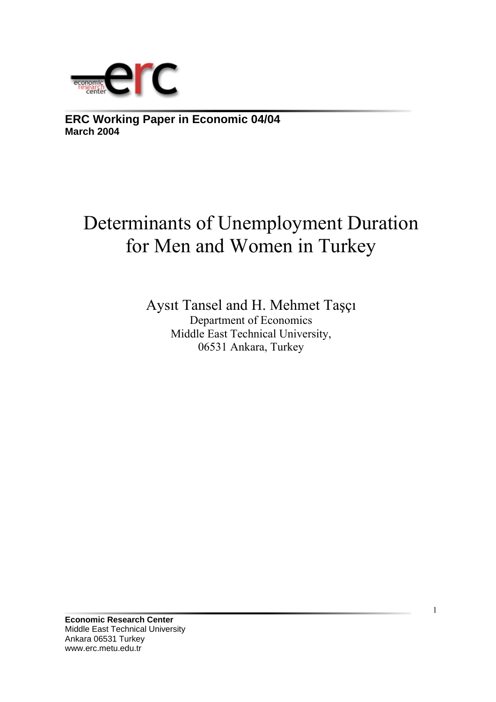

**ERC Working Paper in Economic 04/04 March 2004**

# Determinants of Unemployment Duration for Men and Women in Turkey

Aysıt Tansel and H. Mehmet Taşçı Department of Economics Middle East Technical University, 06531 Ankara, Turkey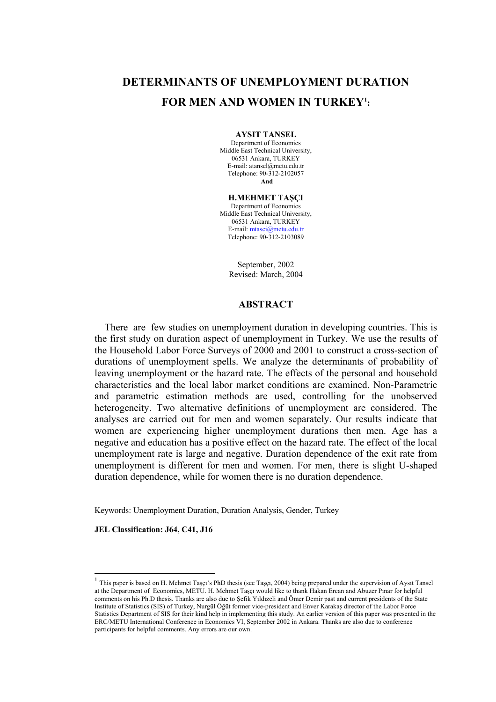# **DETERMINANTS OF UNEMPLOYMENT DURATION FOR MEN AND WOMEN IN TURKEY1 :**

**AYSIT TANSEL**  Department of Economics

Middle East Technical University, 06531 Ankara, TURKEY E-mail: atansel@metu.edu.tr Telephone: 90-312-2102057 **And** 

**H.MEHMET TAŞÇI**  Department of Economics Middle East Technical University, 06531 Ankara, TURKEY E-mail: [mtasci@metu.edu.tr](mailto:mtasci@metu.edu.tr) Telephone: 90-312-2103089

> September, 2002 Revised: March, 2004

#### **ABSTRACT**

 There are few studies on unemployment duration in developing countries. This is the first study on duration aspect of unemployment in Turkey. We use the results of the Household Labor Force Surveys of 2000 and 2001 to construct a cross-section of durations of unemployment spells. We analyze the determinants of probability of leaving unemployment or the hazard rate. The effects of the personal and household characteristics and the local labor market conditions are examined. Non-Parametric and parametric estimation methods are used, controlling for the unobserved heterogeneity. Two alternative definitions of unemployment are considered. The analyses are carried out for men and women separately. Our results indicate that women are experiencing higher unemployment durations then men. Age has a negative and education has a positive effect on the hazard rate. The effect of the local unemployment rate is large and negative. Duration dependence of the exit rate from unemployment is different for men and women. For men, there is slight U-shaped duration dependence, while for women there is no duration dependence.

Keywords: Unemployment Duration, Duration Analysis, Gender, Turkey

**JEL Classification: J64, C41, J16** 

l

 $1$  This paper is based on H. Mehmet Taşçı's PhD thesis (see Taşçı, 2004) being prepared under the supervision of Aysıt Tansel at the Department of Economics, METU. H. Mehmet Taşçı would like to thank Hakan Ercan and Abuzer Pınar for helpful comments on his Ph.D thesis. Thanks are also due to Şefik Yıldızeli and Ömer Demir past and current presidents of the State Institute of Statistics (SIS) of Turkey, Nurgül Öğüt former vice-president and Enver Karakaş director of the Labor Force Statistics Department of SIS for their kind help in implementing this study. An earlier version of this paper was presented in the ERC/METU International Conference in Economics VI, September 2002 in Ankara. Thanks are also due to conference participants for helpful comments. Any errors are our own.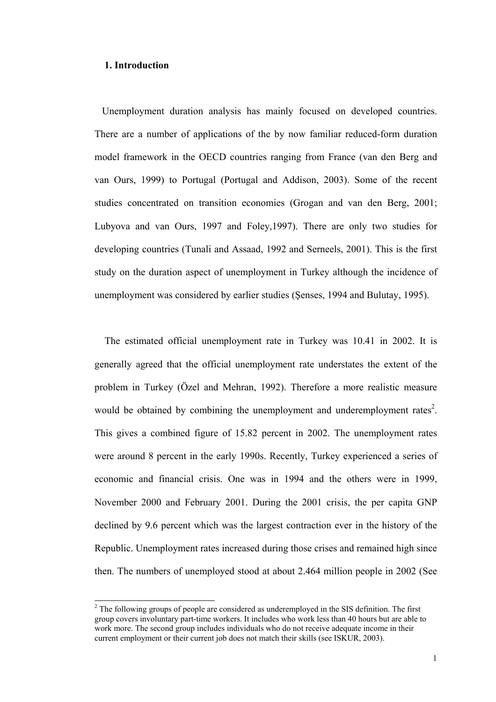#### **1. Introduction**

l

 Unemployment duration analysis has mainly focused on developed countries. There are a number of applications of the by now familiar reduced-form duration model framework in the OECD countries ranging from France (van den Berg and van Ours, 1999) to Portugal (Portugal and Addison, 2003). Some of the recent studies concentrated on transition economies (Grogan and van den Berg, 2001; Lubyova and van Ours, 1997 and Foley,1997). There are only two studies for developing countries (Tunali and Assaad, 1992 and Serneels, 2001). This is the first study on the duration aspect of unemployment in Turkey although the incidence of unemployment was considered by earlier studies (Şenses, 1994 and Bulutay, 1995).

 The estimated official unemployment rate in Turkey was 10.41 in 2002. It is generally agreed that the official unemployment rate understates the extent of the problem in Turkey (Özel and Mehran, 1992). Therefore a more realistic measure would be obtained by combining the unemployment and underemployment rates<sup>2</sup>. This gives a combined figure of 15.82 percent in 2002. The unemployment rates were around 8 percent in the early 1990s. Recently, Turkey experienced a series of economic and financial crisis. One was in 1994 and the others were in 1999, November 2000 and February 2001. During the 2001 crisis, the per capita GNP declined by 9.6 percent which was the largest contraction ever in the history of the Republic. Unemployment rates increased during those crises and remained high since then. The numbers of unemployed stood at about 2.464 million people in 2002 (See

 $2^2$  The following groups of people are considered as underemployed in the SIS definition. The first group covers involuntary part-time workers. It includes who work less than 40 hours but are able to work more. The second group includes individuals who do not receive adequate income in their current employment or their current job does not match their skills (see ISKUR, 2003).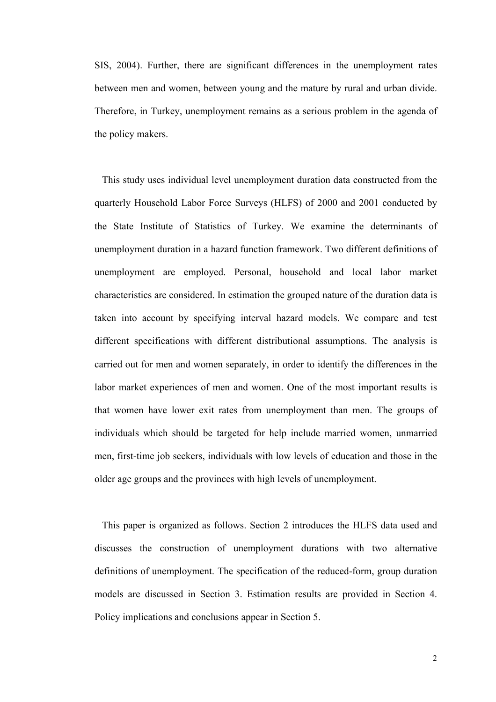SIS, 2004). Further, there are significant differences in the unemployment rates between men and women, between young and the mature by rural and urban divide. Therefore, in Turkey, unemployment remains as a serious problem in the agenda of the policy makers.

 This study uses individual level unemployment duration data constructed from the quarterly Household Labor Force Surveys (HLFS) of 2000 and 2001 conducted by the State Institute of Statistics of Turkey. We examine the determinants of unemployment duration in a hazard function framework. Two different definitions of unemployment are employed. Personal, household and local labor market characteristics are considered. In estimation the grouped nature of the duration data is taken into account by specifying interval hazard models. We compare and test different specifications with different distributional assumptions. The analysis is carried out for men and women separately, in order to identify the differences in the labor market experiences of men and women. One of the most important results is that women have lower exit rates from unemployment than men. The groups of individuals which should be targeted for help include married women, unmarried men, first-time job seekers, individuals with low levels of education and those in the older age groups and the provinces with high levels of unemployment.

 This paper is organized as follows. Section 2 introduces the HLFS data used and discusses the construction of unemployment durations with two alternative definitions of unemployment. The specification of the reduced-form, group duration models are discussed in Section 3. Estimation results are provided in Section 4. Policy implications and conclusions appear in Section 5.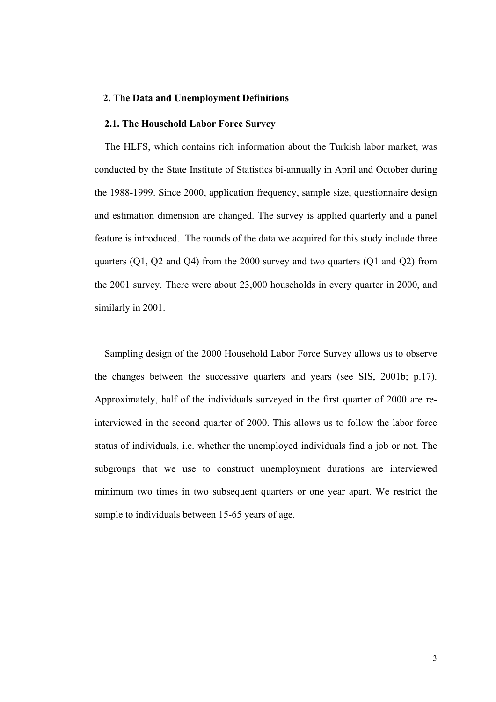#### **2. The Data and Unemployment Definitions**

# **2.1. The Household Labor Force Survey**

 The HLFS, which contains rich information about the Turkish labor market, was conducted by the State Institute of Statistics bi-annually in April and October during the 1988-1999. Since 2000, application frequency, sample size, questionnaire design and estimation dimension are changed. The survey is applied quarterly and a panel feature is introduced. The rounds of the data we acquired for this study include three quarters (Q1, Q2 and Q4) from the 2000 survey and two quarters (Q1 and Q2) from the 2001 survey. There were about 23,000 households in every quarter in 2000, and similarly in 2001.

 Sampling design of the 2000 Household Labor Force Survey allows us to observe the changes between the successive quarters and years (see SIS, 2001b; p.17). Approximately, half of the individuals surveyed in the first quarter of 2000 are reinterviewed in the second quarter of 2000. This allows us to follow the labor force status of individuals, i.e. whether the unemployed individuals find a job or not. The subgroups that we use to construct unemployment durations are interviewed minimum two times in two subsequent quarters or one year apart. We restrict the sample to individuals between 15-65 years of age.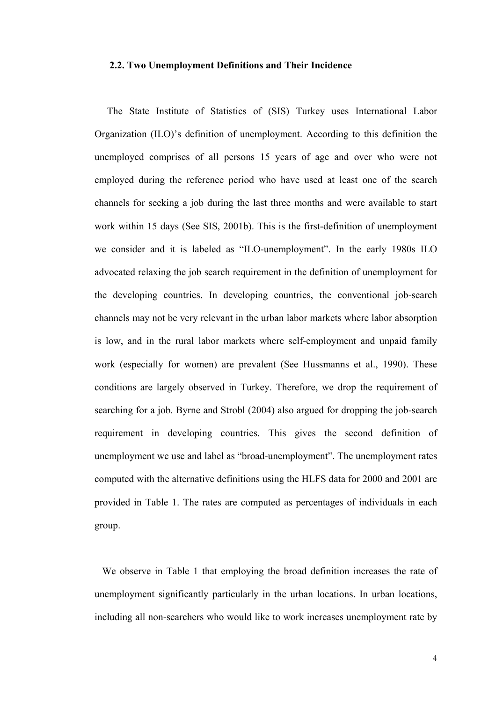#### **2.2. Two Unemployment Definitions and Their Incidence**

 The State Institute of Statistics of (SIS) Turkey uses International Labor Organization (ILO)'s definition of unemployment. According to this definition the unemployed comprises of all persons 15 years of age and over who were not employed during the reference period who have used at least one of the search channels for seeking a job during the last three months and were available to start work within 15 days (See SIS, 2001b). This is the first-definition of unemployment we consider and it is labeled as "ILO-unemployment". In the early 1980s ILO advocated relaxing the job search requirement in the definition of unemployment for the developing countries. In developing countries, the conventional job-search channels may not be very relevant in the urban labor markets where labor absorption is low, and in the rural labor markets where self-employment and unpaid family work (especially for women) are prevalent (See Hussmanns et al., 1990). These conditions are largely observed in Turkey. Therefore, we drop the requirement of searching for a job. Byrne and Strobl (2004) also argued for dropping the job-search requirement in developing countries. This gives the second definition of unemployment we use and label as "broad-unemployment". The unemployment rates computed with the alternative definitions using the HLFS data for 2000 and 2001 are provided in Table 1. The rates are computed as percentages of individuals in each group.

 We observe in Table 1 that employing the broad definition increases the rate of unemployment significantly particularly in the urban locations. In urban locations, including all non-searchers who would like to work increases unemployment rate by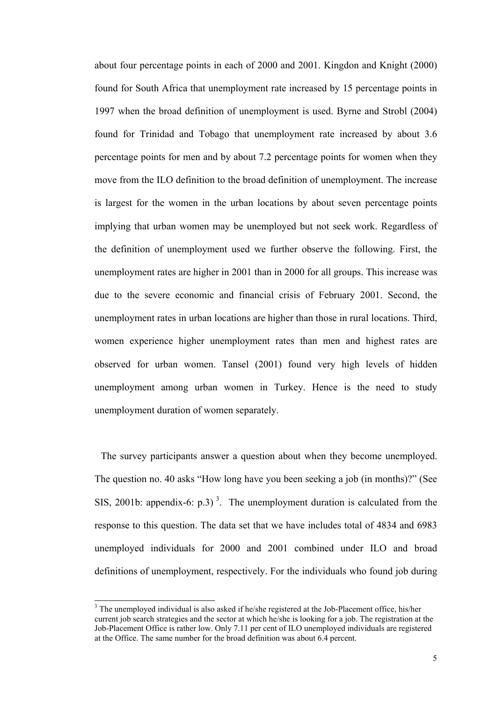about four percentage points in each of 2000 and 2001. Kingdon and Knight (2000) found for South Africa that unemployment rate increased by 15 percentage points in 1997 when the broad definition of unemployment is used. Byrne and Strobl (2004) found for Trinidad and Tobago that unemployment rate increased by about 3.6 percentage points for men and by about 7.2 percentage points for women when they move from the ILO definition to the broad definition of unemployment. The increase is largest for the women in the urban locations by about seven percentage points implying that urban women may be unemployed but not seek work. Regardless of the definition of unemployment used we further observe the following. First, the unemployment rates are higher in 2001 than in 2000 for all groups. This increase was due to the severe economic and financial crisis of February 2001. Second, the unemployment rates in urban locations are higher than those in rural locations. Third, women experience higher unemployment rates than men and highest rates are observed for urban women. Tansel (2001) found very high levels of hidden unemployment among urban women in Turkey. Hence is the need to study unemployment duration of women separately.

 The survey participants answer a question about when they become unemployed. The question no. 40 asks "How long have you been seeking a job (in months)?" (See SIS, 2001b: appendix-6: p.3)<sup>3</sup>. The unemployment duration is calculated from the response to this question. The data set that we have includes total of 4834 and 6983 unemployed individuals for 2000 and 2001 combined under ILO and broad definitions of unemployment, respectively. For the individuals who found job during

l

 $3$  The unemployed individual is also asked if he/she registered at the Job-Placement office, his/her current job search strategies and the sector at which he/she is looking for a job. The registration at the Job-Placement Office is rather low. Only 7.11 per cent of ILO unemployed individuals are registered at the Office. The same number for the broad definition was about 6.4 percent.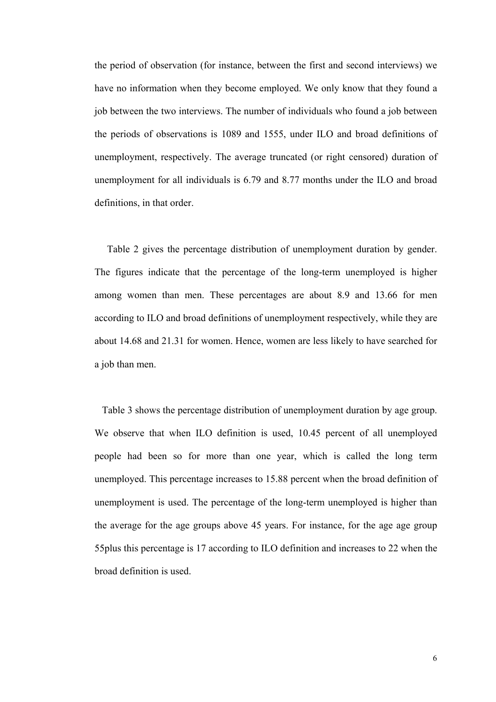the period of observation (for instance, between the first and second interviews) we have no information when they become employed. We only know that they found a job between the two interviews. The number of individuals who found a job between the periods of observations is 1089 and 1555, under ILO and broad definitions of unemployment, respectively. The average truncated (or right censored) duration of unemployment for all individuals is 6.79 and 8.77 months under the ILO and broad definitions, in that order.

 Table 2 gives the percentage distribution of unemployment duration by gender. The figures indicate that the percentage of the long-term unemployed is higher among women than men. These percentages are about 8.9 and 13.66 for men according to ILO and broad definitions of unemployment respectively, while they are about 14.68 and 21.31 for women. Hence, women are less likely to have searched for a job than men.

 Table 3 shows the percentage distribution of unemployment duration by age group. We observe that when ILO definition is used, 10.45 percent of all unemployed people had been so for more than one year, which is called the long term unemployed. This percentage increases to 15.88 percent when the broad definition of unemployment is used. The percentage of the long-term unemployed is higher than the average for the age groups above 45 years. For instance, for the age age group 55plus this percentage is 17 according to ILO definition and increases to 22 when the broad definition is used.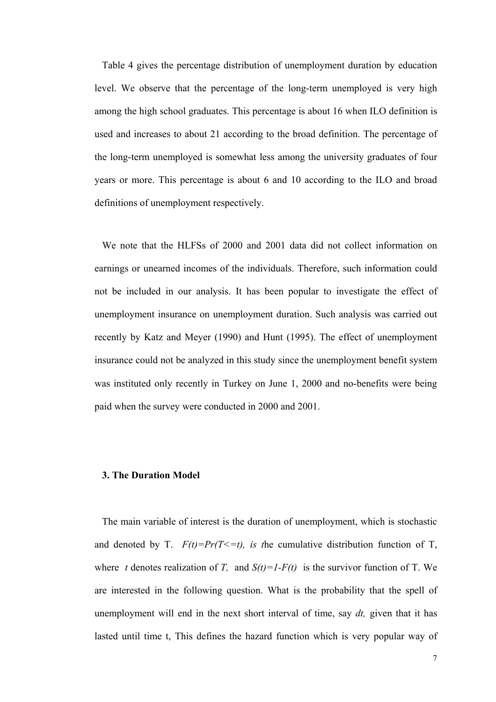Table 4 gives the percentage distribution of unemployment duration by education level. We observe that the percentage of the long-term unemployed is very high among the high school graduates. This percentage is about 16 when ILO definition is used and increases to about 21 according to the broad definition. The percentage of the long-term unemployed is somewhat less among the university graduates of four years or more. This percentage is about 6 and 10 according to the ILO and broad definitions of unemployment respectively.

 We note that the HLFSs of 2000 and 2001 data did not collect information on earnings or unearned incomes of the individuals. Therefore, such information could not be included in our analysis. It has been popular to investigate the effect of unemployment insurance on unemployment duration. Such analysis was carried out recently by Katz and Meyer (1990) and Hunt (1995). The effect of unemployment insurance could not be analyzed in this study since the unemployment benefit system was instituted only recently in Turkey on June 1, 2000 and no-benefits were being paid when the survey were conducted in 2000 and 2001.

#### **3. The Duration Model**

 The main variable of interest is the duration of unemployment, which is stochastic and denoted by T.  $F(t)=Pr(T\leq t)$ , is the cumulative distribution function of T, where *t* denotes realization of *T*, and  $S(t)=I-F(t)$  is the survivor function of T. We are interested in the following question. What is the probability that the spell of unemployment will end in the next short interval of time, say *dt,* given that it has lasted until time t, This defines the hazard function which is very popular way of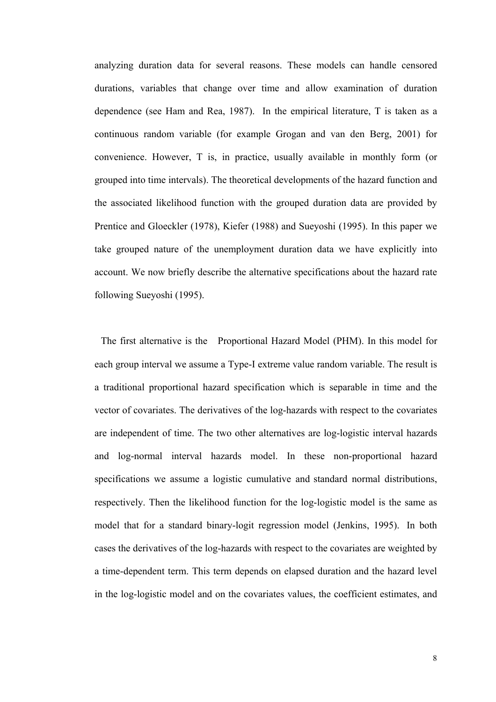analyzing duration data for several reasons. These models can handle censored durations, variables that change over time and allow examination of duration dependence (see Ham and Rea, 1987). In the empirical literature, T is taken as a continuous random variable (for example Grogan and van den Berg, 2001) for convenience. However, T is, in practice, usually available in monthly form (or grouped into time intervals). The theoretical developments of the hazard function and the associated likelihood function with the grouped duration data are provided by Prentice and Gloeckler (1978), Kiefer (1988) and Sueyoshi (1995). In this paper we take grouped nature of the unemployment duration data we have explicitly into account. We now briefly describe the alternative specifications about the hazard rate following Sueyoshi (1995).

 The first alternative is the Proportional Hazard Model (PHM). In this model for each group interval we assume a Type-I extreme value random variable. The result is a traditional proportional hazard specification which is separable in time and the vector of covariates. The derivatives of the log-hazards with respect to the covariates are independent of time. The two other alternatives are log-logistic interval hazards and log-normal interval hazards model. In these non-proportional hazard specifications we assume a logistic cumulative and standard normal distributions, respectively. Then the likelihood function for the log-logistic model is the same as model that for a standard binary-logit regression model (Jenkins, 1995). In both cases the derivatives of the log-hazards with respect to the covariates are weighted by a time-dependent term. This term depends on elapsed duration and the hazard level in the log-logistic model and on the covariates values, the coefficient estimates, and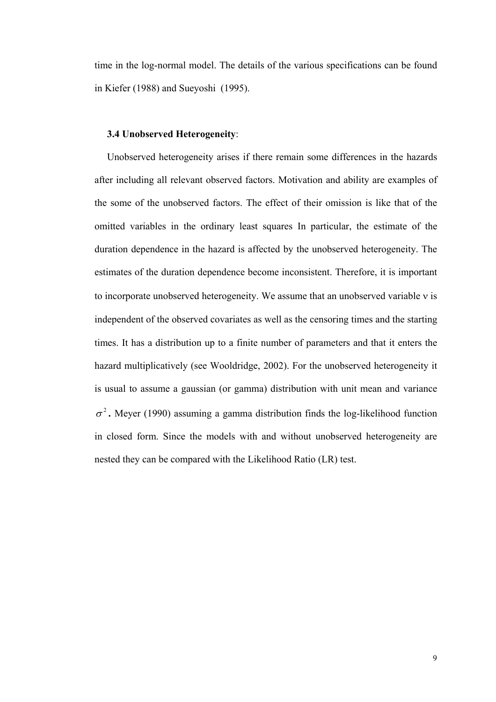time in the log-normal model. The details of the various specifications can be found in Kiefer (1988) and Sueyoshi (1995).

# **3.4 Unobserved Heterogeneity**:

 Unobserved heterogeneity arises if there remain some differences in the hazards after including all relevant observed factors. Motivation and ability are examples of the some of the unobserved factors. The effect of their omission is like that of the omitted variables in the ordinary least squares In particular, the estimate of the duration dependence in the hazard is affected by the unobserved heterogeneity. The estimates of the duration dependence become inconsistent. Therefore, it is important to incorporate unobserved heterogeneity. We assume that an unobserved variable ν is independent of the observed covariates as well as the censoring times and the starting times. It has a distribution up to a finite number of parameters and that it enters the hazard multiplicatively (see Wooldridge, 2002). For the unobserved heterogeneity it is usual to assume a gaussian (or gamma) distribution with unit mean and variance  $\sigma^2$ . Meyer (1990) assuming a gamma distribution finds the log-likelihood function in closed form. Since the models with and without unobserved heterogeneity are nested they can be compared with the Likelihood Ratio (LR) test.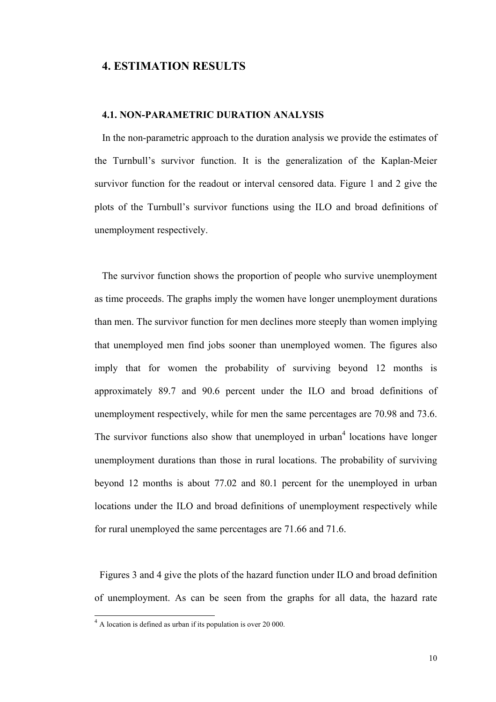# **4. ESTIMATION RESULTS**

# **4.1. NON-PARAMETRIC DURATION ANALYSIS**

 In the non-parametric approach to the duration analysis we provide the estimates of the Turnbull's survivor function. It is the generalization of the Kaplan-Meier survivor function for the readout or interval censored data. Figure 1 and 2 give the plots of the Turnbull's survivor functions using the ILO and broad definitions of unemployment respectively.

 The survivor function shows the proportion of people who survive unemployment as time proceeds. The graphs imply the women have longer unemployment durations than men. The survivor function for men declines more steeply than women implying that unemployed men find jobs sooner than unemployed women. The figures also imply that for women the probability of surviving beyond 12 months is approximately 89.7 and 90.6 percent under the ILO and broad definitions of unemployment respectively, while for men the same percentages are 70.98 and 73.6. The survivor functions also show that unemployed in urban<sup>4</sup> locations have longer unemployment durations than those in rural locations. The probability of surviving beyond 12 months is about 77.02 and 80.1 percent for the unemployed in urban locations under the ILO and broad definitions of unemployment respectively while for rural unemployed the same percentages are 71.66 and 71.6.

 Figures 3 and 4 give the plots of the hazard function under ILO and broad definition of unemployment. As can be seen from the graphs for all data, the hazard rate

l

<sup>&</sup>lt;sup>4</sup> A location is defined as urban if its population is over 20 000.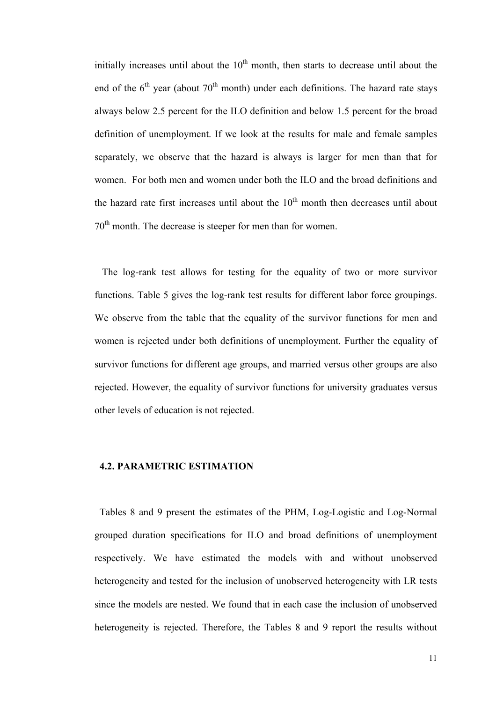initially increases until about the  $10<sup>th</sup>$  month, then starts to decrease until about the end of the  $6<sup>th</sup>$  year (about  $70<sup>th</sup>$  month) under each definitions. The hazard rate stays always below 2.5 percent for the ILO definition and below 1.5 percent for the broad definition of unemployment. If we look at the results for male and female samples separately, we observe that the hazard is always is larger for men than that for women. For both men and women under both the ILO and the broad definitions and the hazard rate first increases until about the  $10<sup>th</sup>$  month then decreases until about 70<sup>th</sup> month. The decrease is steeper for men than for women.

 The log-rank test allows for testing for the equality of two or more survivor functions. Table 5 gives the log-rank test results for different labor force groupings. We observe from the table that the equality of the survivor functions for men and women is rejected under both definitions of unemployment. Further the equality of survivor functions for different age groups, and married versus other groups are also rejected. However, the equality of survivor functions for university graduates versus other levels of education is not rejected.

#### **4.2. PARAMETRIC ESTIMATION**

 Tables 8 and 9 present the estimates of the PHM, Log-Logistic and Log-Normal grouped duration specifications for ILO and broad definitions of unemployment respectively. We have estimated the models with and without unobserved heterogeneity and tested for the inclusion of unobserved heterogeneity with LR tests since the models are nested. We found that in each case the inclusion of unobserved heterogeneity is rejected. Therefore, the Tables 8 and 9 report the results without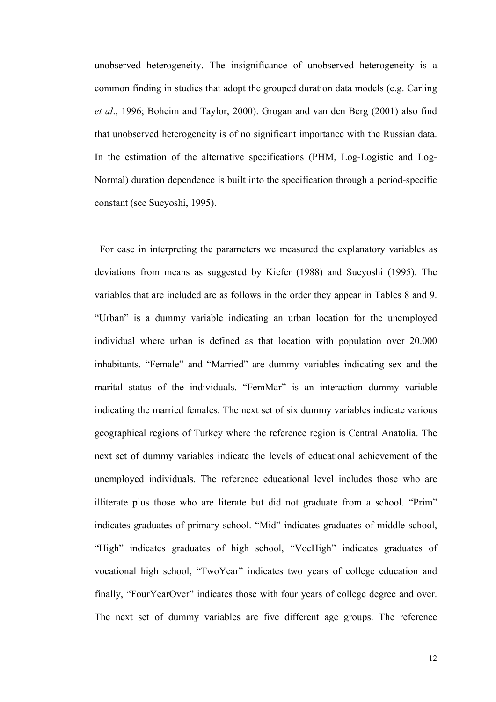unobserved heterogeneity. The insignificance of unobserved heterogeneity is a common finding in studies that adopt the grouped duration data models (e.g. Carling *et al*., 1996; Boheim and Taylor, 2000). Grogan and van den Berg (2001) also find that unobserved heterogeneity is of no significant importance with the Russian data. In the estimation of the alternative specifications (PHM, Log-Logistic and Log-Normal) duration dependence is built into the specification through a period-specific constant (see Sueyoshi, 1995).

 For ease in interpreting the parameters we measured the explanatory variables as deviations from means as suggested by Kiefer (1988) and Sueyoshi (1995). The variables that are included are as follows in the order they appear in Tables 8 and 9. "Urban" is a dummy variable indicating an urban location for the unemployed individual where urban is defined as that location with population over 20.000 inhabitants. "Female" and "Married" are dummy variables indicating sex and the marital status of the individuals. "FemMar" is an interaction dummy variable indicating the married females. The next set of six dummy variables indicate various geographical regions of Turkey where the reference region is Central Anatolia. The next set of dummy variables indicate the levels of educational achievement of the unemployed individuals. The reference educational level includes those who are illiterate plus those who are literate but did not graduate from a school. "Prim" indicates graduates of primary school. "Mid" indicates graduates of middle school, "High" indicates graduates of high school, "VocHigh" indicates graduates of vocational high school, "TwoYear" indicates two years of college education and finally, "FourYearOver" indicates those with four years of college degree and over. The next set of dummy variables are five different age groups. The reference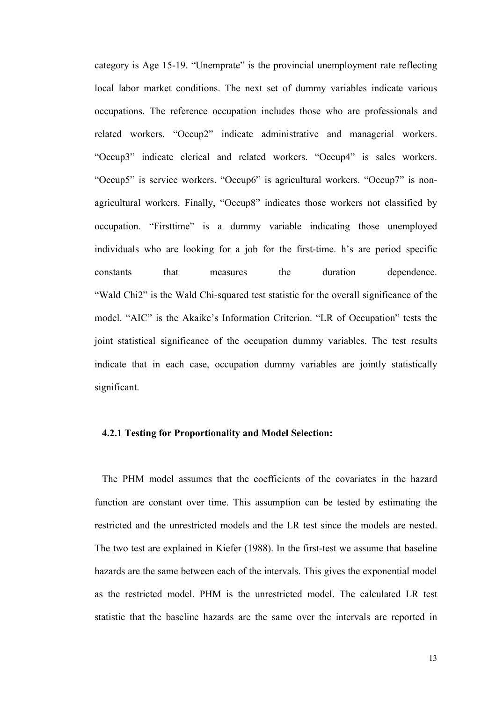category is Age 15-19. "Unemprate" is the provincial unemployment rate reflecting local labor market conditions. The next set of dummy variables indicate various occupations. The reference occupation includes those who are professionals and related workers. "Occup2" indicate administrative and managerial workers. "Occup3" indicate clerical and related workers. "Occup4" is sales workers. "Occup5" is service workers. "Occup6" is agricultural workers. "Occup7" is nonagricultural workers. Finally, "Occup8" indicates those workers not classified by occupation. "Firsttime" is a dummy variable indicating those unemployed individuals who are looking for a job for the first-time. h's are period specific constants that measures the duration dependence. "Wald Chi2" is the Wald Chi-squared test statistic for the overall significance of the model. "AIC" is the Akaike's Information Criterion. "LR of Occupation" tests the joint statistical significance of the occupation dummy variables. The test results indicate that in each case, occupation dummy variables are jointly statistically significant.

# **4.2.1 Testing for Proportionality and Model Selection:**

 The PHM model assumes that the coefficients of the covariates in the hazard function are constant over time. This assumption can be tested by estimating the restricted and the unrestricted models and the LR test since the models are nested. The two test are explained in Kiefer (1988). In the first-test we assume that baseline hazards are the same between each of the intervals. This gives the exponential model as the restricted model. PHM is the unrestricted model. The calculated LR test statistic that the baseline hazards are the same over the intervals are reported in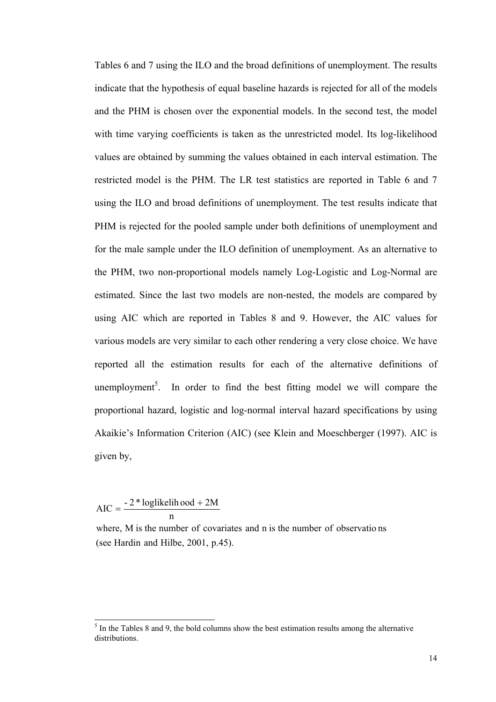Tables 6 and 7 using the ILO and the broad definitions of unemployment. The results indicate that the hypothesis of equal baseline hazards is rejected for all of the models and the PHM is chosen over the exponential models. In the second test, the model with time varying coefficients is taken as the unrestricted model. Its log-likelihood values are obtained by summing the values obtained in each interval estimation. The restricted model is the PHM. The LR test statistics are reported in Table 6 and 7 using the ILO and broad definitions of unemployment. The test results indicate that PHM is rejected for the pooled sample under both definitions of unemployment and for the male sample under the ILO definition of unemployment. As an alternative to the PHM, two non-proportional models namely Log-Logistic and Log-Normal are estimated. Since the last two models are non-nested, the models are compared by using AIC which are reported in Tables 8 and 9. However, the AIC values for various models are very similar to each other rendering a very close choice. We have reported all the estimation results for each of the alternative definitions of unemployment<sup>5</sup>. In order to find the best fitting model we will compare the proportional hazard, logistic and log-normal interval hazard specifications by using Akaikie's Information Criterion (AIC) (see Klein and Moeschberger (1997). AIC is given by,

n  $AIC = \frac{-2 * loglikelihood + 2M}{ }$ 

l

(see Hardin and Hilbe, 2001, p.45). where, M is the number of covariates and n is the number of observations

 $<sup>5</sup>$  In the Tables 8 and 9, the bold columns show the best estimation results among the alternative</sup> distributions.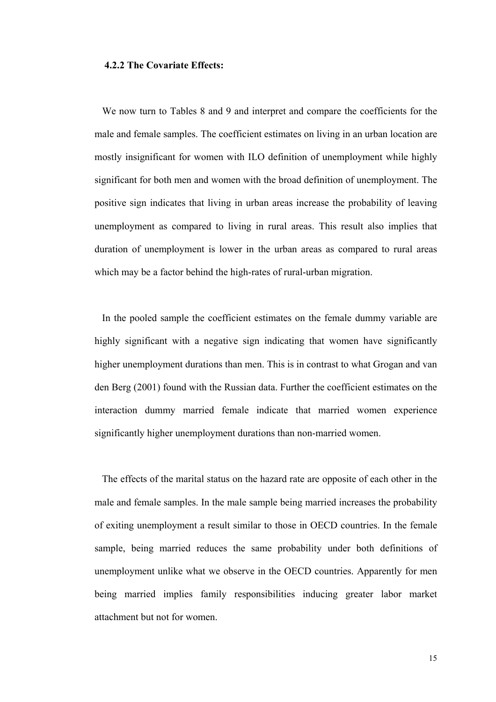# **4.2.2 The Covariate Effects:**

 We now turn to Tables 8 and 9 and interpret and compare the coefficients for the male and female samples. The coefficient estimates on living in an urban location are mostly insignificant for women with ILO definition of unemployment while highly significant for both men and women with the broad definition of unemployment. The positive sign indicates that living in urban areas increase the probability of leaving unemployment as compared to living in rural areas. This result also implies that duration of unemployment is lower in the urban areas as compared to rural areas which may be a factor behind the high-rates of rural-urban migration.

 In the pooled sample the coefficient estimates on the female dummy variable are highly significant with a negative sign indicating that women have significantly higher unemployment durations than men. This is in contrast to what Grogan and van den Berg (2001) found with the Russian data. Further the coefficient estimates on the interaction dummy married female indicate that married women experience significantly higher unemployment durations than non-married women.

 The effects of the marital status on the hazard rate are opposite of each other in the male and female samples. In the male sample being married increases the probability of exiting unemployment a result similar to those in OECD countries. In the female sample, being married reduces the same probability under both definitions of unemployment unlike what we observe in the OECD countries. Apparently for men being married implies family responsibilities inducing greater labor market attachment but not for women.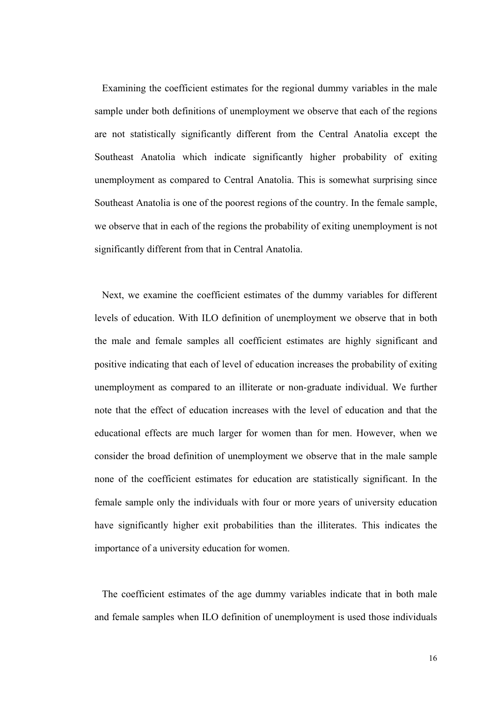Examining the coefficient estimates for the regional dummy variables in the male sample under both definitions of unemployment we observe that each of the regions are not statistically significantly different from the Central Anatolia except the Southeast Anatolia which indicate significantly higher probability of exiting unemployment as compared to Central Anatolia. This is somewhat surprising since Southeast Anatolia is one of the poorest regions of the country. In the female sample, we observe that in each of the regions the probability of exiting unemployment is not significantly different from that in Central Anatolia.

 Next, we examine the coefficient estimates of the dummy variables for different levels of education. With ILO definition of unemployment we observe that in both the male and female samples all coefficient estimates are highly significant and positive indicating that each of level of education increases the probability of exiting unemployment as compared to an illiterate or non-graduate individual. We further note that the effect of education increases with the level of education and that the educational effects are much larger for women than for men. However, when we consider the broad definition of unemployment we observe that in the male sample none of the coefficient estimates for education are statistically significant. In the female sample only the individuals with four or more years of university education have significantly higher exit probabilities than the illiterates. This indicates the importance of a university education for women.

 The coefficient estimates of the age dummy variables indicate that in both male and female samples when ILO definition of unemployment is used those individuals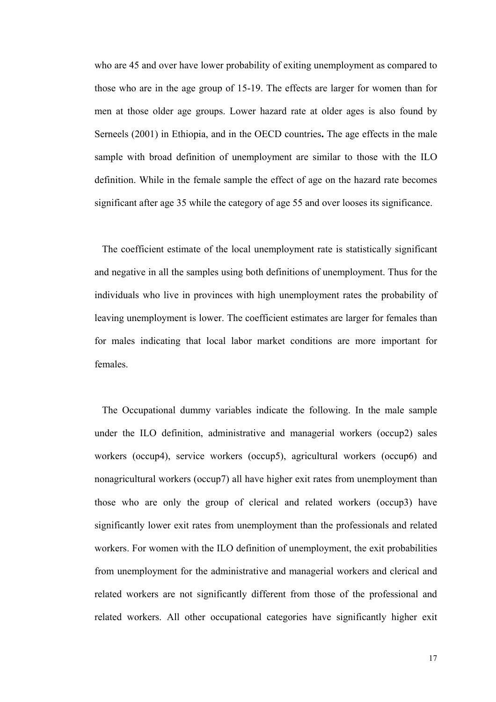who are 45 and over have lower probability of exiting unemployment as compared to those who are in the age group of 15-19. The effects are larger for women than for men at those older age groups. Lower hazard rate at older ages is also found by Serneels (2001) in Ethiopia, and in the OECD countries**.** The age effects in the male sample with broad definition of unemployment are similar to those with the ILO definition. While in the female sample the effect of age on the hazard rate becomes significant after age 35 while the category of age 55 and over looses its significance.

 The coefficient estimate of the local unemployment rate is statistically significant and negative in all the samples using both definitions of unemployment. Thus for the individuals who live in provinces with high unemployment rates the probability of leaving unemployment is lower. The coefficient estimates are larger for females than for males indicating that local labor market conditions are more important for females.

 The Occupational dummy variables indicate the following. In the male sample under the ILO definition, administrative and managerial workers (occup2) sales workers (occup4), service workers (occup5), agricultural workers (occup6) and nonagricultural workers (occup7) all have higher exit rates from unemployment than those who are only the group of clerical and related workers (occup3) have significantly lower exit rates from unemployment than the professionals and related workers. For women with the ILO definition of unemployment, the exit probabilities from unemployment for the administrative and managerial workers and clerical and related workers are not significantly different from those of the professional and related workers. All other occupational categories have significantly higher exit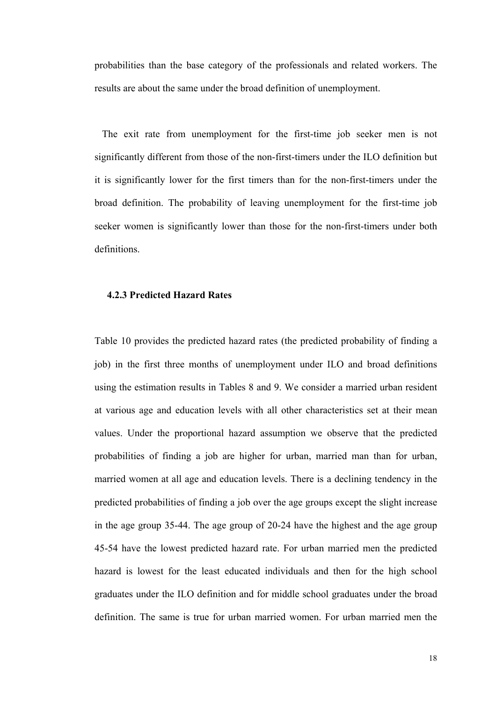probabilities than the base category of the professionals and related workers. The results are about the same under the broad definition of unemployment.

 The exit rate from unemployment for the first-time job seeker men is not significantly different from those of the non-first-timers under the ILO definition but it is significantly lower for the first timers than for the non-first-timers under the broad definition. The probability of leaving unemployment for the first-time job seeker women is significantly lower than those for the non-first-timers under both definitions.

#### **4.2.3 Predicted Hazard Rates**

Table 10 provides the predicted hazard rates (the predicted probability of finding a job) in the first three months of unemployment under ILO and broad definitions using the estimation results in Tables 8 and 9. We consider a married urban resident at various age and education levels with all other characteristics set at their mean values. Under the proportional hazard assumption we observe that the predicted probabilities of finding a job are higher for urban, married man than for urban, married women at all age and education levels. There is a declining tendency in the predicted probabilities of finding a job over the age groups except the slight increase in the age group 35-44. The age group of 20-24 have the highest and the age group 45-54 have the lowest predicted hazard rate. For urban married men the predicted hazard is lowest for the least educated individuals and then for the high school graduates under the ILO definition and for middle school graduates under the broad definition. The same is true for urban married women. For urban married men the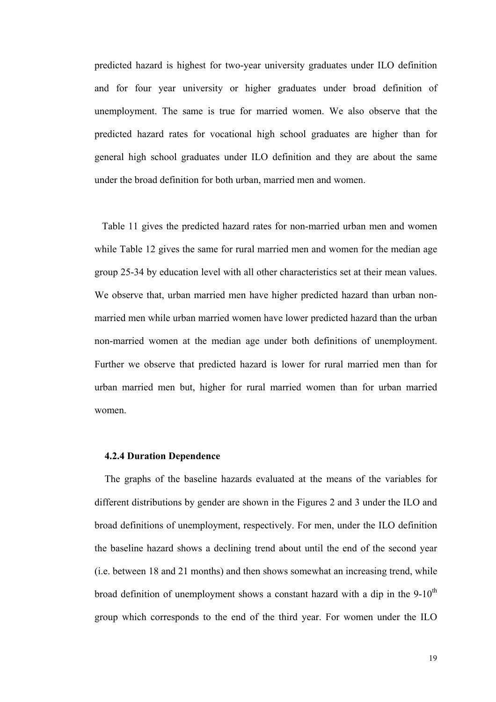predicted hazard is highest for two-year university graduates under ILO definition and for four year university or higher graduates under broad definition of unemployment. The same is true for married women. We also observe that the predicted hazard rates for vocational high school graduates are higher than for general high school graduates under ILO definition and they are about the same under the broad definition for both urban, married men and women.

 Table 11 gives the predicted hazard rates for non-married urban men and women while Table 12 gives the same for rural married men and women for the median age group 25-34 by education level with all other characteristics set at their mean values. We observe that, urban married men have higher predicted hazard than urban nonmarried men while urban married women have lower predicted hazard than the urban non-married women at the median age under both definitions of unemployment. Further we observe that predicted hazard is lower for rural married men than for urban married men but, higher for rural married women than for urban married women.

#### **4.2.4 Duration Dependence**

 The graphs of the baseline hazards evaluated at the means of the variables for different distributions by gender are shown in the Figures 2 and 3 under the ILO and broad definitions of unemployment, respectively. For men, under the ILO definition the baseline hazard shows a declining trend about until the end of the second year (i.e. between 18 and 21 months) and then shows somewhat an increasing trend, while broad definition of unemployment shows a constant hazard with a dip in the  $9-10<sup>th</sup>$ group which corresponds to the end of the third year. For women under the ILO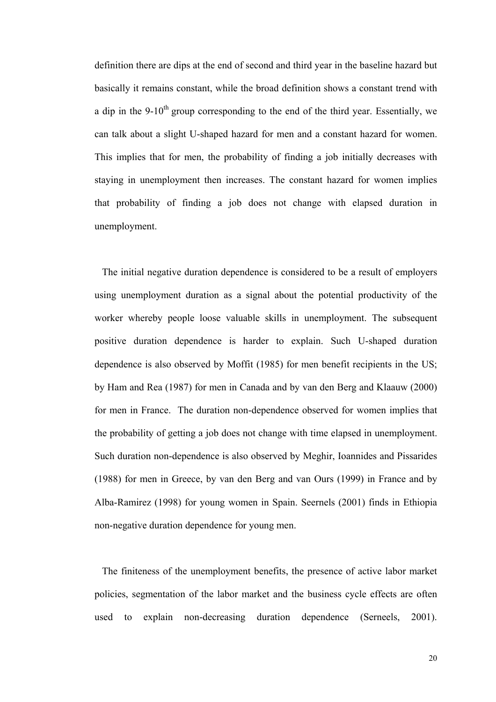definition there are dips at the end of second and third year in the baseline hazard but basically it remains constant, while the broad definition shows a constant trend with a dip in the 9-10<sup>th</sup> group corresponding to the end of the third year. Essentially, we can talk about a slight U-shaped hazard for men and a constant hazard for women. This implies that for men, the probability of finding a job initially decreases with staying in unemployment then increases. The constant hazard for women implies that probability of finding a job does not change with elapsed duration in unemployment.

 The initial negative duration dependence is considered to be a result of employers using unemployment duration as a signal about the potential productivity of the worker whereby people loose valuable skills in unemployment. The subsequent positive duration dependence is harder to explain. Such U-shaped duration dependence is also observed by Moffit (1985) for men benefit recipients in the US; by Ham and Rea (1987) for men in Canada and by van den Berg and Klaauw (2000) for men in France. The duration non-dependence observed for women implies that the probability of getting a job does not change with time elapsed in unemployment. Such duration non-dependence is also observed by Meghir, Ioannides and Pissarides (1988) for men in Greece, by van den Berg and van Ours (1999) in France and by Alba-Ramirez (1998) for young women in Spain. Seernels (2001) finds in Ethiopia non-negative duration dependence for young men.

 The finiteness of the unemployment benefits, the presence of active labor market policies, segmentation of the labor market and the business cycle effects are often used to explain non-decreasing duration dependence (Serneels, 2001).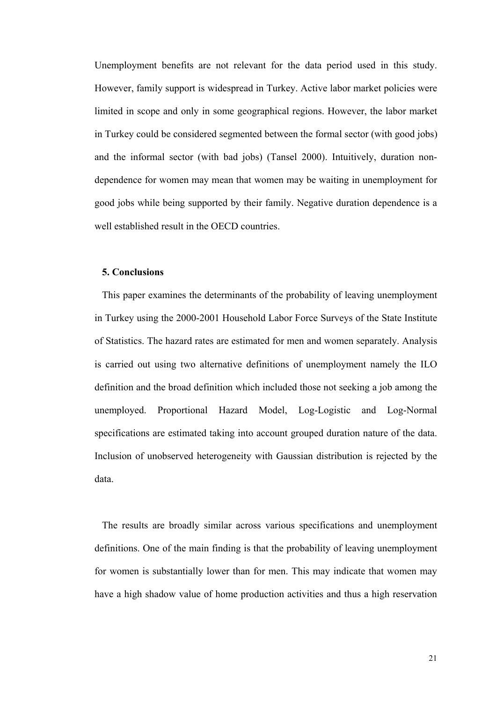Unemployment benefits are not relevant for the data period used in this study. However, family support is widespread in Turkey. Active labor market policies were limited in scope and only in some geographical regions. However, the labor market in Turkey could be considered segmented between the formal sector (with good jobs) and the informal sector (with bad jobs) (Tansel 2000). Intuitively, duration nondependence for women may mean that women may be waiting in unemployment for good jobs while being supported by their family. Negative duration dependence is a well established result in the OECD countries.

# **5. Conclusions**

 This paper examines the determinants of the probability of leaving unemployment in Turkey using the 2000-2001 Household Labor Force Surveys of the State Institute of Statistics. The hazard rates are estimated for men and women separately. Analysis is carried out using two alternative definitions of unemployment namely the ILO definition and the broad definition which included those not seeking a job among the unemployed. Proportional Hazard Model, Log-Logistic and Log-Normal specifications are estimated taking into account grouped duration nature of the data. Inclusion of unobserved heterogeneity with Gaussian distribution is rejected by the data.

 The results are broadly similar across various specifications and unemployment definitions. One of the main finding is that the probability of leaving unemployment for women is substantially lower than for men. This may indicate that women may have a high shadow value of home production activities and thus a high reservation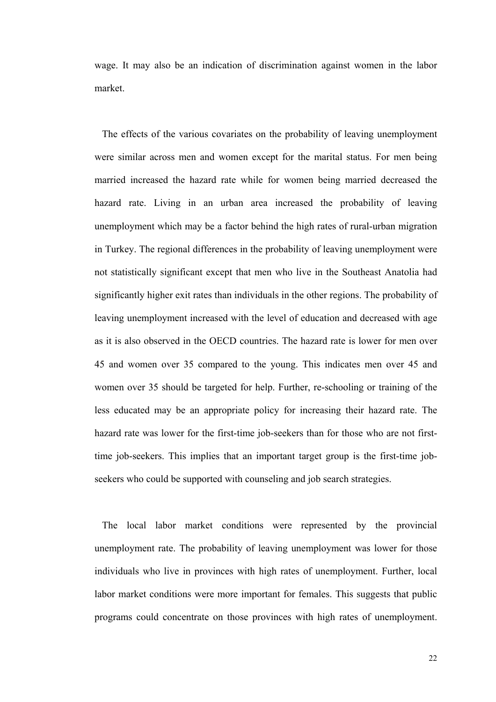wage. It may also be an indication of discrimination against women in the labor market.

 The effects of the various covariates on the probability of leaving unemployment were similar across men and women except for the marital status. For men being married increased the hazard rate while for women being married decreased the hazard rate. Living in an urban area increased the probability of leaving unemployment which may be a factor behind the high rates of rural-urban migration in Turkey. The regional differences in the probability of leaving unemployment were not statistically significant except that men who live in the Southeast Anatolia had significantly higher exit rates than individuals in the other regions. The probability of leaving unemployment increased with the level of education and decreased with age as it is also observed in the OECD countries. The hazard rate is lower for men over 45 and women over 35 compared to the young. This indicates men over 45 and women over 35 should be targeted for help. Further, re-schooling or training of the less educated may be an appropriate policy for increasing their hazard rate. The hazard rate was lower for the first-time job-seekers than for those who are not firsttime job-seekers. This implies that an important target group is the first-time jobseekers who could be supported with counseling and job search strategies.

 The local labor market conditions were represented by the provincial unemployment rate. The probability of leaving unemployment was lower for those individuals who live in provinces with high rates of unemployment. Further, local labor market conditions were more important for females. This suggests that public programs could concentrate on those provinces with high rates of unemployment.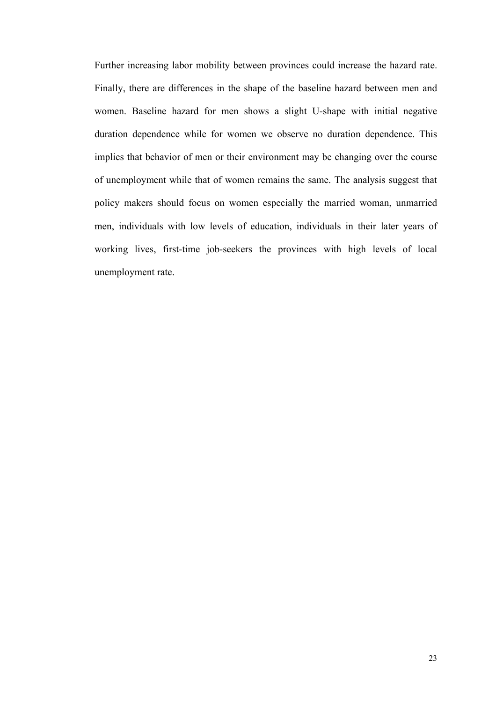Further increasing labor mobility between provinces could increase the hazard rate. Finally, there are differences in the shape of the baseline hazard between men and women. Baseline hazard for men shows a slight U-shape with initial negative duration dependence while for women we observe no duration dependence. This implies that behavior of men or their environment may be changing over the course of unemployment while that of women remains the same. The analysis suggest that policy makers should focus on women especially the married woman, unmarried men, individuals with low levels of education, individuals in their later years of working lives, first-time job-seekers the provinces with high levels of local unemployment rate.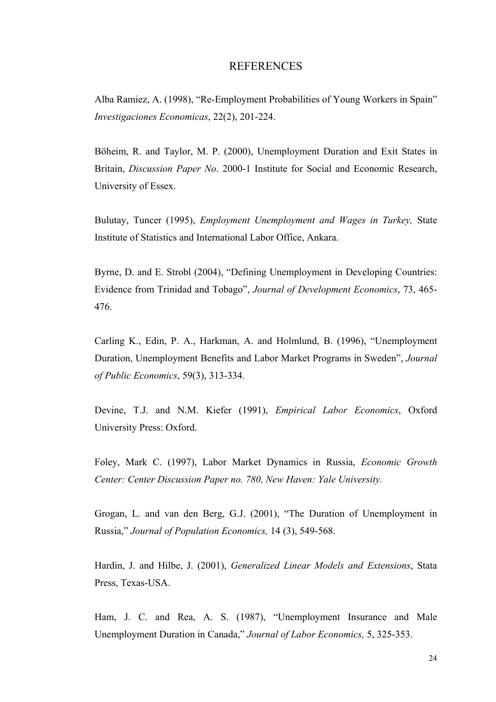# REFERENCES

Alba Ramiez, A. (1998), "Re-Employment Probabilities of Young Workers in Spain" *Investigaciones Economicas*, 22(2), 201-224.

Böheim, R. and Taylor, M. P. (2000), Unemployment Duration and Exit States in Britain, *Discussion Paper No*. 2000-1 Institute for Social and Economic Research, University of Essex.

Bulutay, Tuncer (1995), *Employment Unemployment and Wages in Turkey,* State Institute of Statistics and International Labor Office, Ankara.

Byrne, D. and E. Strobl (2004), "Defining Unemployment in Developing Countries: Evidence from Trinidad and Tobago", *Journal of Development Economics*, 73, 465- 476.

Carling K., Edin, P. A., Harkman, A. and Holmlund, B. (1996), "Unemployment Duration, Unemployment Benefits and Labor Market Programs in Sweden", *Journal of Public Economics*, 59(3), 313-334.

Devine, T.J. and N.M. Kiefer (1991), *Empirical Labor Economics*, Oxford University Press: Oxford.

Foley, Mark C. (1997), Labor Market Dynamics in Russia, *Economic Growth Center: Center Discussion Paper no. 780, New Haven: Yale University.*

Grogan, L. and van den Berg, G.J. (2001), "The Duration of Unemployment in Russia," *Journal of Population Economics,* 14 (3), 549-568.

Hardin, J. and Hilbe, J. (2001), *Generalized Linear Models and Extensions*, Stata Press, Texas-USA.

Ham, J. C. and Rea, A. S. (1987), "Unemployment Insurance and Male Unemployment Duration in Canada," *Journal of Labor Economics,* 5, 325-353.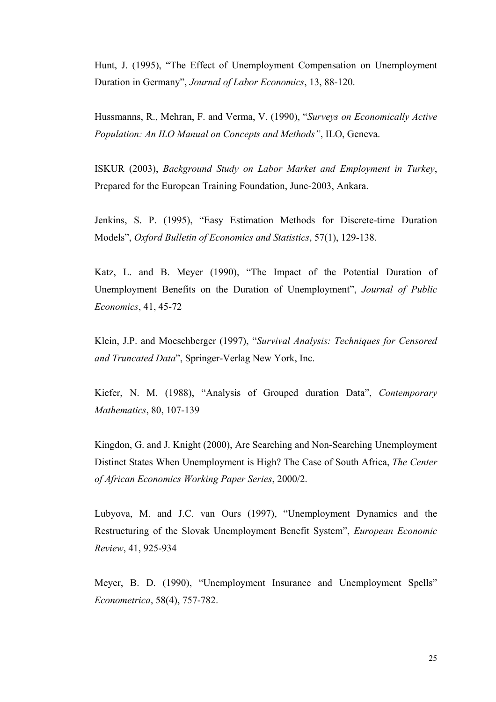Hunt, J. (1995), "The Effect of Unemployment Compensation on Unemployment Duration in Germany", *Journal of Labor Economics*, 13, 88-120.

Hussmanns, R., Mehran, F. and Verma, V. (1990), "*Surveys on Economically Active Population: An ILO Manual on Concepts and Methods"*, ILO, Geneva.

ISKUR (2003), *Background Study on Labor Market and Employment in Turkey*, Prepared for the European Training Foundation, June-2003, Ankara.

Jenkins, S. P. (1995), "Easy Estimation Methods for Discrete-time Duration Models", *Oxford Bulletin of Economics and Statistics*, 57(1), 129-138.

Katz, L. and B. Meyer (1990), "The Impact of the Potential Duration of Unemployment Benefits on the Duration of Unemployment", *Journal of Public Economics*, 41, 45-72

Klein, J.P. and Moeschberger (1997), "*Survival Analysis: Techniques for Censored and Truncated Data*", Springer-Verlag New York, Inc.

Kiefer, N. M. (1988), "Analysis of Grouped duration Data", *Contemporary Mathematics*, 80, 107-139

Kingdon, G. and J. Knight (2000), Are Searching and Non-Searching Unemployment Distinct States When Unemployment is High? The Case of South Africa, *The Center of African Economics Working Paper Series*, 2000/2.

Lubyova, M. and J.C. van Ours (1997), "Unemployment Dynamics and the Restructuring of the Slovak Unemployment Benefit System", *European Economic Review*, 41, 925-934

Meyer, B. D. (1990), "Unemployment Insurance and Unemployment Spells" *Econometrica*, 58(4), 757-782.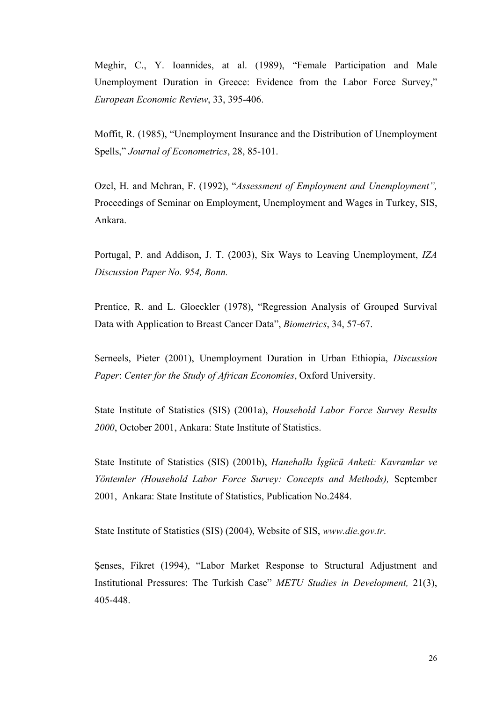Meghir, C., Y. Ioannides, at al. (1989), "Female Participation and Male Unemployment Duration in Greece: Evidence from the Labor Force Survey," *European Economic Review*, 33, 395-406.

Moffit, R. (1985), "Unemployment Insurance and the Distribution of Unemployment Spells," *Journal of Econometrics*, 28, 85-101.

Ozel, H. and Mehran, F. (1992), "*Assessment of Employment and Unemployment",*  Proceedings of Seminar on Employment, Unemployment and Wages in Turkey, SIS, Ankara.

Portugal, P. and Addison, J. T. (2003), Six Ways to Leaving Unemployment, *IZA Discussion Paper No. 954, Bonn.*

Prentice, R. and L. Gloeckler (1978), "Regression Analysis of Grouped Survival Data with Application to Breast Cancer Data", *Biometrics*, 34, 57-67.

Serneels, Pieter (2001), Unemployment Duration in Urban Ethiopia, *Discussion Paper*: *Center for the Study of African Economies*, Oxford University.

State Institute of Statistics (SIS) (2001a), *Household Labor Force Survey Results 2000*, October 2001, Ankara: State Institute of Statistics.

State Institute of Statistics (SIS) (2001b), *Hanehalkı İşgücü Anketi: Kavramlar ve Yöntemler (Household Labor Force Survey: Concepts and Methods),* September 2001, Ankara: State Institute of Statistics, Publication No.2484.

State Institute of Statistics (SIS) (2004), Website of SIS, *www.die.gov.tr*.

Şenses, Fikret (1994), "Labor Market Response to Structural Adjustment and Institutional Pressures: The Turkish Case" *METU Studies in Development,* 21(3), 405-448.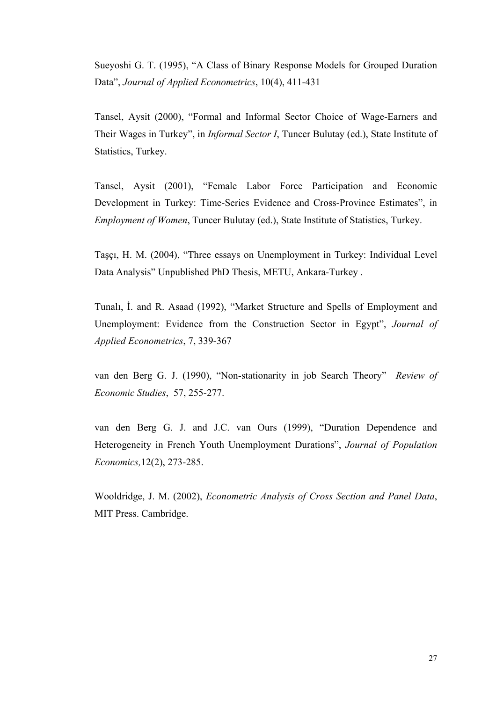Sueyoshi G. T. (1995), "A Class of Binary Response Models for Grouped Duration Data", *Journal of Applied Econometrics*, 10(4), 411-431

Tansel, Aysit (2000), "Formal and Informal Sector Choice of Wage-Earners and Their Wages in Turkey", in *Informal Sector I*, Tuncer Bulutay (ed.), State Institute of Statistics, Turkey.

Tansel, Aysit (2001), "Female Labor Force Participation and Economic Development in Turkey: Time-Series Evidence and Cross-Province Estimates", in *Employment of Women*, Tuncer Bulutay (ed.), State Institute of Statistics, Turkey.

Taşçı, H. M. (2004), "Three essays on Unemployment in Turkey: Individual Level Data Analysis" Unpublished PhD Thesis, METU, Ankara-Turkey .

Tunalı, İ. and R. Asaad (1992), "Market Structure and Spells of Employment and Unemployment: Evidence from the Construction Sector in Egypt", *Journal of Applied Econometrics*, 7, 339-367

van den Berg G. J. (1990), "Non-stationarity in job Search Theory" *Review of Economic Studies*, 57, 255-277.

van den Berg G. J. and J.C. van Ours (1999), "Duration Dependence and Heterogeneity in French Youth Unemployment Durations", *Journal of Population Economics,*12(2), 273-285.

Wooldridge, J. M. (2002), *Econometric Analysis of Cross Section and Panel Data*, MIT Press. Cambridge.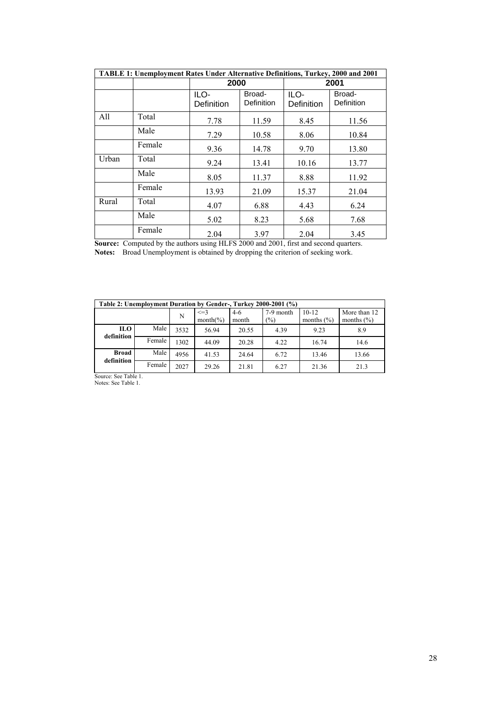| TABLE 1: Unemployment Rates Under Alternative Definitions, Turkey, 2000 and 2001 |        |                    |                             |                    |                      |  |  |  |
|----------------------------------------------------------------------------------|--------|--------------------|-----------------------------|--------------------|----------------------|--|--|--|
|                                                                                  |        |                    | 2000                        |                    | 2001                 |  |  |  |
|                                                                                  |        | ILO-<br>Definition | Broad-<br><b>Definition</b> | ILO-<br>Definition | Broad-<br>Definition |  |  |  |
| All                                                                              | Total  | 7.78               | 11.59                       | 8.45               | 11.56                |  |  |  |
|                                                                                  | Male   | 7.29               | 10.58                       | 8.06               | 10.84                |  |  |  |
|                                                                                  | Female | 9.36               | 14.78                       | 9.70               | 13.80                |  |  |  |
| Urban                                                                            | Total  | 9.24               | 13.41                       | 10.16              | 13.77                |  |  |  |
|                                                                                  | Male   | 8.05               | 11.37                       | 8.88               | 11.92                |  |  |  |
|                                                                                  | Female | 13.93              | 21.09                       | 15.37              | 21.04                |  |  |  |
| Rural                                                                            | Total  | 4.07               | 6.88                        | 4.43               | 6.24                 |  |  |  |
|                                                                                  | Male   | 5.02               | 8.23                        | 5.68               | 7.68                 |  |  |  |
|                                                                                  | Female | 2.04               | 3.97                        | 2.04               | 3.45                 |  |  |  |

**Source:** Computed by the authors using HLFS 2000 and 2001, first and second quarters.

**Notes:** Broad Unemployment is obtained by dropping the criterion of seeking work.

| Table 2: Unemployment Duration by Gender-, Turkey 2000-2001 (%) |        |      |                           |                |                  |                             |                                |  |  |  |
|-----------------------------------------------------------------|--------|------|---------------------------|----------------|------------------|-----------------------------|--------------------------------|--|--|--|
|                                                                 |        | N    | $\leq$ = 3<br>$month(\%)$ | $4-6$<br>month | 7-9 month<br>(%) | $10 - 12$<br>months $(\% )$ | More than 12<br>months $(\% )$ |  |  |  |
| ILO-<br>definition                                              | Male   | 3532 | 56.94                     | 20.55          | 4.39             | 9.23                        | 8.9                            |  |  |  |
|                                                                 | Female | 1302 | 44.09                     | 20.28          | 4.22             | 16.74                       | 14.6                           |  |  |  |
| <b>Broad</b><br>definition                                      | Male   | 4956 | 41.53                     | 24.64          | 6.72             | 13.46                       | 13.66                          |  |  |  |
|                                                                 | Female | 2027 | 29.26                     | 21.81          | 6.27             | 21.36                       | 21.3                           |  |  |  |

Source: See Table 1. Notes: See Table 1.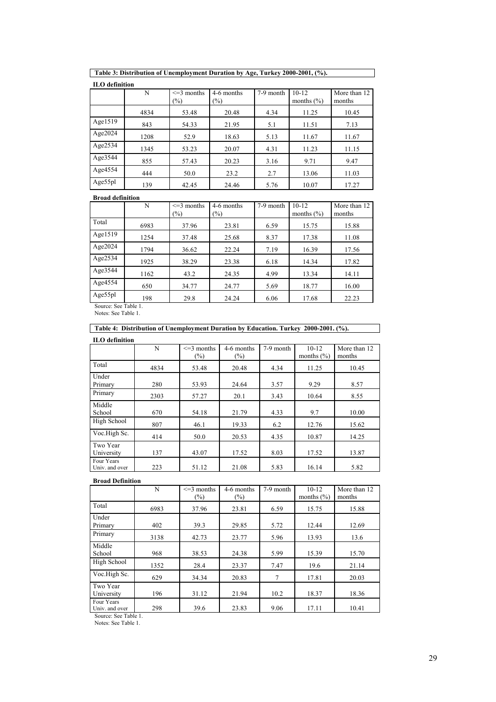**ILO definition** 

|         | N    | $\leq$ 3 months<br>(%) | 4-6 months<br>$(\%)$ | 7-9 month | $10 - 12$<br>months $(\% )$ | More than 12<br>months |
|---------|------|------------------------|----------------------|-----------|-----------------------------|------------------------|
|         | 4834 | 53.48                  | 20.48                | 4.34      | 11.25                       | 10.45                  |
| Age1519 | 843  | 54.33                  | 21.95                | 5.1       | 11.51                       | 7.13                   |
| Age2024 | 1208 | 52.9                   | 18.63                | 5.13      | 11.67                       | 11.67                  |
| Age2534 | 1345 | 53.23                  | 20.07                | 4.31      | 11.23                       | 11.15                  |
| Age3544 | 855  | 57.43                  | 20.23                | 3.16      | 9.71                        | 9.47                   |
| Age4554 | 444  | 50.0                   | 23.2                 | 2.7       | 13.06                       | 11.03                  |
| Age55pl | 139  | 42.45                  | 24.46                | 5.76      | 10.07                       | 17.27                  |

**Broad definition** 

|            | N    | $\leq$ 3 months<br>(%) | 4-6 months<br>$\frac{1}{2}$ | 7-9 month | $10 - 12$<br>months $(\% )$ | More than 12<br>months |
|------------|------|------------------------|-----------------------------|-----------|-----------------------------|------------------------|
| Total      | 6983 | 37.96                  | 23.81                       | 6.59      | 15.75                       | 15.88                  |
| Age1519    | 1254 | 37.48                  | 25.68                       | 8.37      | 17.38                       | 11.08                  |
| Age $2024$ | 1794 | 36.62                  | 22.24                       | 7.19      | 16.39                       | 17.56                  |
| Age2534    | 1925 | 38.29                  | 23.38                       | 6.18      | 14.34                       | 17.82                  |
| Age3544    | 1162 | 43.2                   | 24.35                       | 4.99      | 13.34                       | 14.11                  |
| Age4554    | 650  | 34.77                  | 24.77                       | 5.69      | 18.77                       | 16.00                  |
| Age55pl    | 198  | 29.8                   | 24.24                       | 6.06      | 17.68                       | 22.23                  |

Source: See Table 1. Notes: See Table 1.

| Table 4: Distribution of Unemployment Duration by Education. Turkey 2000-2001. (%). |  |
|-------------------------------------------------------------------------------------|--|
| <b>ILO</b> definition                                                               |  |

| тьо чениции                  |      |                           |                      |           |                           |                        |
|------------------------------|------|---------------------------|----------------------|-----------|---------------------------|------------------------|
|                              | N    | $\leq$ 3 months<br>$(\%)$ | 4-6 months<br>$(\%)$ | 7-9 month | $10-12$<br>months $(\% )$ | More than 12<br>months |
| Total                        | 4834 | 53.48                     | 20.48                | 4.34      | 11.25                     | 10.45                  |
| Under<br>Primary             | 280  | 53.93                     | 24.64                | 3.57      | 9.29                      | 8.57                   |
| Primary                      | 2303 | 57.27                     | 20.1                 | 3.43      | 10.64                     | 8.55                   |
| Middle<br>School             | 670  | 54.18                     | 21.79                | 4.33      | 9.7                       | 10.00                  |
| High School                  | 807  | 46.1                      | 19.33                | 6.2       | 12.76                     | 15.62                  |
| Voc.High Sc.                 | 414  | 50.0                      | 20.53                | 4.35      | 10.87                     | 14.25                  |
| Two Year<br>University       | 137  | 43.07                     | 17.52                | 8.03      | 17.52                     | 13.87                  |
| Four Years<br>Univ. and over | 223  | 51.12                     | 21.08                | 5.83      | 16.14                     | 5.82                   |

#### **Broad Definition**

|                              | N    | $\leq$ 3 months<br>$\frac{1}{2}$ | 4-6 months<br>$(\%)$ | 7-9 month | $10-12$<br>months $(\% )$ | More than 12<br>months |
|------------------------------|------|----------------------------------|----------------------|-----------|---------------------------|------------------------|
| Total                        | 6983 | 37.96                            | 23.81                | 6.59      | 15.75                     | 15.88                  |
| Under<br>Primary             | 402  | 39.3                             | 29.85                | 5.72      | 12.44                     | 12.69                  |
| Primary                      | 3138 | 42.73                            | 23.77                | 5.96      | 13.93                     | 13.6                   |
| Middle<br>School             | 968  | 38.53                            | 24.38                | 5.99      | 15.39                     | 15.70                  |
| High School                  | 1352 | 28.4                             | 23.37                | 7.47      | 19.6                      | 21.14                  |
| Voc.High Sc.                 | 629  | 34.34                            | 20.83                | 7         | 17.81                     | 20.03                  |
| Two Year<br>University       | 196  | 31.12                            | 21.94                | 10.2      | 18.37                     | 18.36                  |
| Four Years<br>Univ. and over | 298  | 39.6                             | 23.83                | 9.06      | 17.11                     | 10.41                  |

Source: See Table 1.

Notes: See Table 1.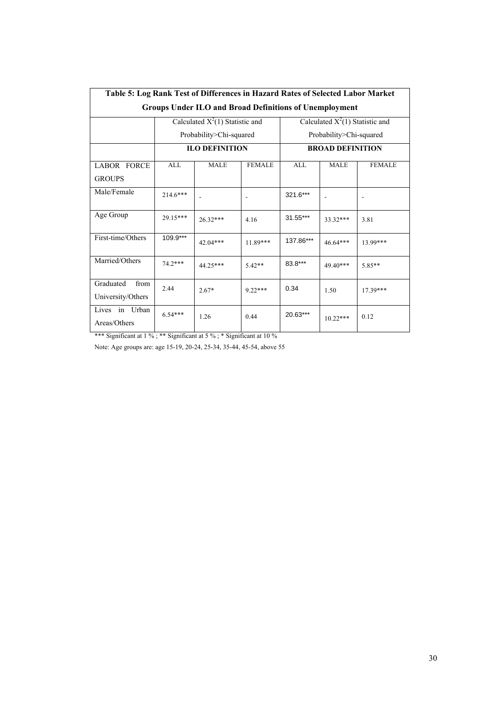| Table 5: Log Rank Test of Differences in Hazard Rates of Selected Labor Market |            |                                   |               |            |                                   |               |  |  |  |  |
|--------------------------------------------------------------------------------|------------|-----------------------------------|---------------|------------|-----------------------------------|---------------|--|--|--|--|
| <b>Groups Under ILO and Broad Definitions of Unemployment</b>                  |            |                                   |               |            |                                   |               |  |  |  |  |
|                                                                                |            | Calculated $X^2(1)$ Statistic and |               |            | Calculated $X^2(1)$ Statistic and |               |  |  |  |  |
|                                                                                |            | Probability>Chi-squared           |               |            | Probability>Chi-squared           |               |  |  |  |  |
|                                                                                |            | <b>ILO DEFINITION</b>             |               |            | <b>BROAD DEFINITION</b>           |               |  |  |  |  |
| <b>LABOR FORCE</b><br><b>GROUPS</b>                                            | <b>ALL</b> | <b>MALE</b>                       | <b>FEMALE</b> | <b>ALL</b> | <b>MALE</b>                       | <b>FEMALE</b> |  |  |  |  |
| Male/Female                                                                    | $214.6***$ |                                   |               | 321.6***   |                                   |               |  |  |  |  |
| Age Group                                                                      | 29.15***   | $26.32***$                        | 4.16          | 31.55***   | 33.32 ***                         | 3.81          |  |  |  |  |
| First-time/Others                                                              | 109.9***   | 42.04***                          | $11.89***$    | 137.86***  | 46.64***                          | 13.99***      |  |  |  |  |
| Married/Others                                                                 | 74.2***    | 44 25***                          | $5.42**$      | 83.8***    | 49 40***                          | $5.85**$      |  |  |  |  |
| Graduated<br>from<br>University/Others                                         | 2.44       | $2.67*$                           | $922***$      | 0.34       | 1.50                              | $17.39***$    |  |  |  |  |
| in Urban<br>Lives<br>Areas/Others                                              | $6.54***$  | 1.26                              | 0.44          | 20.63***   | $10.22***$                        | 0.12          |  |  |  |  |

\*\*\* Significant at 1 % ; \*\* Significant at 5 % ; \* Significant at 10 %

Note: Age groups are: age 15-19, 20-24, 25-34, 35-44, 45-54, above 55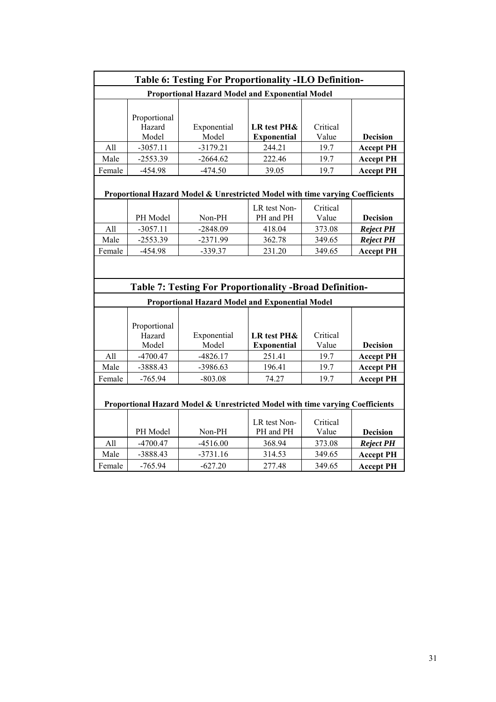|                |                                               | <b>Table 6: Testing For Proportionality -ILO Definition-</b>                  |                                                    |                                       |                                                         |
|----------------|-----------------------------------------------|-------------------------------------------------------------------------------|----------------------------------------------------|---------------------------------------|---------------------------------------------------------|
|                |                                               | <b>Proportional Hazard Model and Exponential Model</b>                        |                                                    |                                       |                                                         |
| All            | Proportional<br>Hazard<br>Model<br>$-3057.11$ | Exponential<br>Model<br>$-3179.21$                                            | <b>LR</b> test PH&<br><b>Exponential</b><br>244.21 | Critical<br>Value<br>19.7             | <b>Decision</b><br><b>Accept PH</b>                     |
| Male           | $-2553.39$                                    | $-2664.62$                                                                    | 222.46                                             | 19.7                                  | <b>Accept PH</b>                                        |
| Female         | $-454.98$                                     | $-474.50$                                                                     | 39.05                                              | 19.7                                  | <b>Accept PH</b>                                        |
|                |                                               | Proportional Hazard Model & Unrestricted Model with time varying Coefficients |                                                    |                                       |                                                         |
| All<br>Male    | PH Model<br>$-3057.11$<br>$-2553.39$          | Non-PH<br>$-2848.09$<br>$-2371.99$                                            | LR test Non-<br>PH and PH<br>418.04<br>362.78      | Critical<br>Value<br>373.08<br>349.65 | <b>Decision</b><br><b>Reject PH</b><br><b>Reject PH</b> |
| Female         | -454.98                                       | $-339.37$                                                                     | 231.20                                             | 349.65                                | <b>Accept PH</b>                                        |
|                |                                               | <b>Table 7: Testing For Proportionality -Broad Definition-</b>                |                                                    |                                       |                                                         |
|                |                                               | <b>Proportional Hazard Model and Exponential Model</b>                        |                                                    |                                       |                                                         |
|                | Proportional<br>Hazard<br>Model               | Exponential<br>Model                                                          | <b>LR</b> test PH&<br><b>Exponential</b>           | Critical<br>Value                     | <b>Decision</b>                                         |
| All            | $-4700.47$                                    | $-4826.17$                                                                    | 251.41                                             | 19.7                                  | <b>Accept PH</b>                                        |
| Male           | -3888.43                                      | -3986.63                                                                      | 196.41                                             | 19.7                                  | <b>Accept PH</b>                                        |
| Female         | $-765.94$                                     | $-803.08$                                                                     | 74.27                                              | 19.7                                  | <b>Accept PH</b>                                        |
|                |                                               | Proportional Hazard Model & Unrestricted Model with time varying Coefficients |                                                    |                                       |                                                         |
|                | PH Model                                      | Non-PH                                                                        | LR test Non-<br>PH and PH                          | Critical<br>Value                     | <b>Decision</b>                                         |
| All            | $-4700.47$                                    | $-4516.00$                                                                    | 368.94                                             | 373.08                                | <b>Reject PH</b>                                        |
| Male<br>Female | -3888.43<br>$-765.94$                         | $-3731.16$<br>$-627.20$                                                       | 314.53<br>277.48                                   | 349.65<br>349.65                      | <b>Accept PH</b><br><b>Accept PH</b>                    |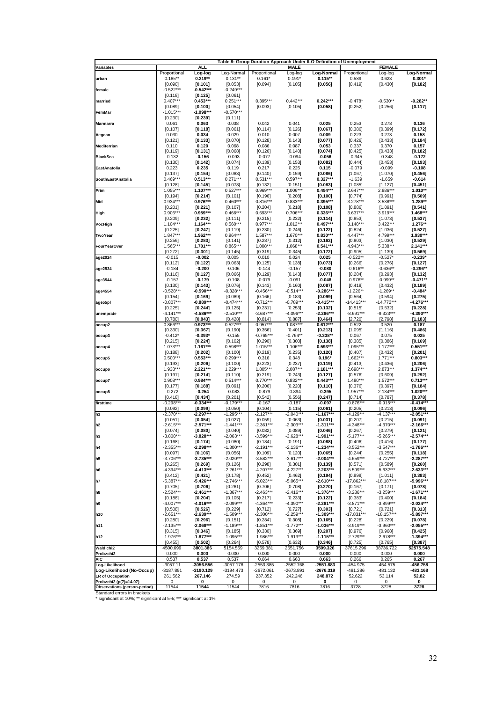|                                                                    |                            |                          |                          |                        |                          | Table 8: Group Duration Approach Under ILO Definition of Unemployment |                          |                          |                        |
|--------------------------------------------------------------------|----------------------------|--------------------------|--------------------------|------------------------|--------------------------|-----------------------------------------------------------------------|--------------------------|--------------------------|------------------------|
| Variables                                                          |                            | <b>ALL</b><br>Log-log    | Log-Normal               | Proportional           | <b>MALE</b><br>Log-log   | Log-Normal                                                            | Proportional             | <b>FEMALE</b><br>Log-log | Log-Normal             |
| urban                                                              | Proportional<br>$0.185***$ | $0.219**$                | $0.131**$                | $0.161*$               | $0.191*$                 | $0.115**$                                                             | 0.589                    | 0.623                    | $0.301*$               |
|                                                                    | [0.090]                    | [0.101]                  | [0.053]                  | [0.094]                | [0.105]                  | [0.056]                                                               | [0.419]                  | [0.430]                  | [0.182]                |
| female                                                             | $-0.522***$                | $-0.542***$              | $-0.249***$              |                        |                          |                                                                       |                          |                          |                        |
| married                                                            | [0.118]<br>$0.407***$      | [0.125]<br>$0.453***$    | [0.061]<br>$0.251***$    | $0.395***$             | $0.442***$               | $0.242***$                                                            | $-0.478*$                | $-0.530**$               | $-0.282**$             |
|                                                                    | [0.089]                    | [0.100]                  | [0.054]                  | [0.093]                | [0.105]                  | [0.058]                                                               | [0.252]                  | [0.256]                  | [0.117]                |
| FemMar                                                             | $-1.015***$                | -1.098***                | $-0.570***$              |                        |                          |                                                                       |                          |                          |                        |
|                                                                    | [0.230]                    | [0.239]                  | [0.111]                  |                        |                          |                                                                       |                          |                          |                        |
| <b>Marmarra</b>                                                    | 0.061<br>[0.107]           | 0.063<br>[0.118]         | 0.038<br>[0.061]         | 0.042<br>[0.114]       | 0.041<br>[0.126]         | 0.025<br>[0.067]                                                      | 0.253<br>[0.386]         | 0.278<br>[0.399]         | 0.136<br>[0.172]       |
| Aegean                                                             | 0.030                      | 0.034                    | 0.029                    | 0.010                  | 0.007                    | 0.009                                                                 | 0.223                    | 0.273                    | 0.158                  |
|                                                                    | [0.121]                    | [0.133]                  | [0.070]                  | [0.128]                | [0.143]                  | [0.077]                                                               | [0.426]                  | [0.433]                  | [0.184]                |
| <b>Mediterrian</b>                                                 | 0.110                      | 0.120                    | 0.068                    | 0.086                  | 0.087                    | 0.053                                                                 | 0.337                    | 0.370                    | 0.157                  |
| <b>BlackSea</b>                                                    | [0.119]                    | [0.131]<br>$-0.156$      | [0.068]<br>$-0.093$      | [0.126]                | [0.140]<br>$-0.094$      | [0.074]<br>$-0.056$                                                   | [0.425]<br>$-0.345$      | [0.433]<br>$-0.348$      | [0.182]<br>-0.172      |
|                                                                    | -0.132<br>[0.130]          | [0.142]                  | [0.074]                  | $-0.077$<br>[0.139]    | [0.153]                  | [0.082]                                                               | [0.444]                  | [0.453]                  | [0.193]                |
| EastAnatolia                                                       | 0.223                      | 0.235                    | 0.119                    | 0.217                  | 0.225                    | 0.115                                                                 | $-0.079$                 | $-0.099$                 | $-0.108$               |
|                                                                    | [0.137]                    | [0.154]                  | [0.083]                  | [0.140]                | [0.159]                  | [0.086]                                                               | [1.067]                  | [1.070]                  | [0.456]                |
| SouthEastAnatolia                                                  | $0.469***$<br>[0.128]      | $0.513***$<br>[0.145]    | $0.271***$<br>[0.078]    | $0.531***$<br>[0.132]  | $0.597***$<br>[0.151]    | $0.327***$<br>[0.083]                                                 | $-1.639$<br>[1.085]      | $-1.659$<br>[1.127]      | $-0.614$<br>[0.451]    |
| Prim                                                               | 1.055***                   | $1.107***$               | $0.527***$               | $0.969***$             | 1.006***                 | $0.494***$                                                            | $2.647***$               | 2.886***                 | $1.010**$              |
|                                                                    | [0.194]                    | [0.214]                  | [0.101]                  | [0.196]                | [0.208]                  | [0.100]                                                               | [0.774]                  | [0.991]                  | $[0.509]$              |
| Mid                                                                | $0.934***$                 | 0.976***                 | $0.460***$               | $0.816***$             | $0.833***$               | $0.395***$                                                            | $3.278***$               | 3.538***                 | 1.289**                |
| High                                                               | [0.201]<br>0.906***        | [0.221]<br>$0.959***$    | [0.107]<br>$0.466***$    | [0.204]<br>$0.693***$  | [0.218]<br>$0.706***$    | [0.108]<br>$0.336***$                                                 | [0.886]<br>$3.637***$    | [1.091]<br>3.919***      | [0.541]<br>1.468***    |
|                                                                    | [0.209]                    | [0.232]                  | [0.111]                  | [0.215]                | [0.232]                  | [0.114]                                                               | [0.853]                  | [1.073]                  | [0.537]                |
| VocHigh                                                            | $1.104***$                 | $1.164***$               | $0.560***$               | $0.977***$             | $1.012***$               | $0.497***$                                                            | $3.140***$               | $3.422***$               | 1.276**                |
|                                                                    | [0.225]                    | [0.247]                  | [0.119]                  | [0.230]                | [0.246]                  | [0.122]                                                               | [0.824]                  | [1.036]                  | [0.527]                |
| <b>TwoYear</b>                                                     | $1.847***$<br>[0.256]      | 1.962***<br>[0.283]      | $0.964***$<br>[0.141]    | 1.587***<br>[0.287]    | 1.670***<br>[0.312]      | $0.830***$<br>[0.162]                                                 | 4.447***<br>[0.803]      | 4.799***<br>[1.030]      | 1.930***<br>$[0.529]$  |
| <b>FourYearOver</b>                                                | 1.565***                   | 1.701***                 | $0.865***$               | $1.008***$             | 1.068***                 | $0.541***$                                                            | 4.943***                 | 5.338***                 | 2.141***               |
|                                                                    | [0.272]                    | [0.301]                  | [0.145]                  | [0.319]                | [0.345]                  | [0.172]                                                               | [0.905]                  | [1.139]                  | $[0.569]$              |
| age2024                                                            | $-0.015$                   | $-0.002$                 | 0.005                    | 0.010                  | 0.024                    | 0.025                                                                 | $-0.522*$                | $-0.527$                 | $-0.239'$              |
| age2534                                                            | [0.112]<br>$-0.184$        | [0.122]<br>$-0.200$      | [0.063]<br>$-0.106$      | [0.125]<br>$-0.144$    | [0.138]<br>$-0.157$      | [0.073]<br>$-0.080$                                                   | [0.266]<br>$-0.616**$    | [0.276]<br>$-0.636**$    | [0.127]<br>-0.296**    |
|                                                                    | [0.116]                    | [0.127]                  | [0.066]                  | [0.129]                | [0.143]                  | [0.077]                                                               | [0.284]                  | [0.293]                  | [0.132]                |
| age3544                                                            | $-0.157$                   | $-0.179$                 | $-0.108$                 | $-0.079$               | $-0.091$                 | $-0.048$                                                              | $-0.976**$               | $-0.999**$               | -0.471**               |
|                                                                    | [0.130]                    | [0.143]                  | [0.076]                  | [0.143]                | [0.160]                  | [0.087]                                                               | [0.418]                  | [0.432]                  | [0.189]                |
| age4554                                                            | -0.528***<br>[0.154]       | $-0.590***$<br>[0.169]   | $-0.328***$<br>[0.089]   | $-0.456***$<br>[0.166] | $-0.514***$<br>[0.183]   | $-0.286***$<br>[0.099]                                                | $-1.226**$<br>[0.564]    | $-1.269**$<br>[0.594]    | -0.484*<br>$[0.275]$   |
| age55pl                                                            | $-0.807***$                | $-0.889***$              | $-0.474***$              | $-0.712***$            | $-0.789***$              | -0.415***                                                             | $-14.413***$             | $-14.772***$             | $-4.276***$            |
|                                                                    | [0.225]                    | [0.244]                  | [0.125]                  | [0.231]                | [0.253]                  | [0.132]                                                               | [0.515]                  | [0.532]                  | [0.228]                |
| unemprate                                                          | $-4.141**$                 | -4.586**                 | $-2.510**$               | $-3.687**$             | $-4.096*$                | $-2.286**$                                                            | $-8.691**$               | $-9.323**$               | $-4.390**$             |
| occup2                                                             | [0.780]<br>$0.866***$      | [0.843]<br>$0.973***$    | [0.428]<br>$0.527***$    | [0.814]<br>$0.957***$  | [0.887]<br>$1.087***$    | [0.464]<br>$0.612***$                                                 | [2.720]<br>0.522         | [2.798]<br>0.520         | [1.183]<br>0.187       |
|                                                                    | [0.330]                    | [0.367]                  | [0.190]                  | [0.356]                | [0.401]                  | [0.213]                                                               | [1.095]                  | [1.116]                  | [0.486]                |
| occup3                                                             | $-0.412*$                  | $-0.393*$                | $-0.155$                 | $-0.765***$            | $-0.764**$               | $-0.338**$                                                            | 0.067                    | 0.075                    | 0.025                  |
|                                                                    | [0.215]                    | [0.224]                  | [0.102]                  | [0.290]                | [0.300]                  | [0.138]                                                               | [0.385]                  | [0.386]                  | [0.169]                |
| occup4                                                             | $1.073***$<br>[0.188]      | $1.161***$<br>[0.202]    | $0.598***$<br>[0.100]    | $1.015***$<br>[0.219]  | $1.106***$<br>[0.235]    | $0.593***$<br>[0.120]                                                 | 1.095***<br>[0.407]      | $1.177***$<br>[0.432]    | $0.551***$<br>[0.201]  |
| occup5                                                             | $0.500***$                 | $0.553***$               | $0.299***$               | 0.316                  | 0.348                    | $0.196*$                                                              | $1.662***$               | $1.771***$               | $0.803***$             |
|                                                                    | [0.193]                    | [0.206]                  | [0.100]                  | [0.223]                | [0.237]                  | [0.119]                                                               | [0.413]                  | [0.436]                  | [0.206]                |
| occup6                                                             | 1.938***                   | 2.221***                 | $1.229***$               | 1.805***               | 2.087***                 | $1.181***$                                                            | 2.698***                 | 2.873***                 | 1.374***               |
| occup7                                                             | [0.191]<br>$0.908***$      | [0.214]<br>$0.984***$    | [0.110]<br>$0.514***$    | [0.219]<br>$0.770***$  | [0.243]<br>$0.832***$    | [0.127]<br>$0.443***$                                                 | [0.576]<br>$1.480***$    | [0.609]<br>$1.572***$    | [0.292]<br>$0.713***$  |
|                                                                    | [0.177]                    | [0.188]                  | [0.091]                  | [0.206]                | [0.220]                  | [0.110]                                                               | [0.376]                  | [0.397]                  | [0.184]                |
| occup8                                                             | $-0.272$                   | $-0.254$                 | $-0.083$                 | $-0.879$               | $-0.894$                 | $-0.395$                                                              | $1.957***$               | $2.134***$               | $1.020***$             |
|                                                                    | [0.418]<br>$-0.298*$       | [0.434]<br>$-0.334**$    | [0.201]<br>$-0.179**$    | [0.542]<br>$-0.167$    | [0.556]<br>$-0.187$      | [0.247]<br>$-0.097$                                                   | [0.714]<br>$-0.876**$    | [0.787]<br>$-0.915**$    | [0.378]<br>$-0.414**$  |
| firsttime                                                          | [0.092]                    | [0.099]                  | [0.050]                  | [0.104]                | [0.115]                  | [0.061]                                                               | [0.205]                  | [0.213]                  | [0.096]                |
| h <sub>1</sub>                                                     | $-2.370**$                 | $-2.297***$              | $-1.295***$              | $-2.127***$            | $-2.040**$               | $-1.167***$                                                           | $-4.129**$               | $-4.137***$              | $-2.051***$            |
|                                                                    | [0.051]                    | [0.054]                  | [0.027]                  | [0.059]                | [0.063]                  | [0.031]                                                               | [0.207]                  | [0.215]                  | [0.091]                |
| h <sub>2</sub>                                                     | $-2.615***$<br>[0.074]     | $-2.571***$<br>[0.080]   | $-1.441***$<br>[0.040]   | $-2.361***$<br>[0.082] | $-2.303***$<br>[0.089]   | $-1.311***$<br>[0.046]                                                | $-4.348***$<br>[0.267]   | $-4.370***$<br>[0.279]   | $-2.166***$<br>[0.121] |
| h <sub>3</sub>                                                     | $-3.800***$                | $-3.828***$              | $-2.063***$              | $-3.599***$            | $-3.628***$              | $-1.991***$                                                           | $-5.177***$              | $-5.265***$              | $-2.574***$            |
|                                                                    | [0.168]                    | [0.174]                  | [0.080]                  | [0.184]                | [0.191]                  | [0.088]                                                               | [0.406]                  | [0.416]                  | [0.177]                |
| h4                                                                 | $-2.355***$                | $-2.298***$              | $-1.300***$              | -2.191***              | $-2.136***$              | $-1.234***$                                                           | $-3.552***$              | $-3.547***$              | $-1.786***$            |
| h <sub>5</sub>                                                     | [0.097]<br>$-3.706***$     | [0.106]<br>$-3.735***$   | $[0.056]$<br>$-2.020***$ | [0.109]<br>$-3.582***$ | [0.120]<br>$-3.617***$   | [0.065]<br>$-2.004***$                                                | [0.244]<br>$-4.659***$   | $[0.255]$<br>$-4.727***$ | [0.118]<br>$-2.287***$ |
|                                                                    | [0.265]                    | [0.269]                  | [0.126]                  | $[0.298]$              | [0.301]                  | [0.139]                                                               | [0.571]                  | $[0.589]$                | [0.260]                |
| h6                                                                 | $-4.394***$                | $-4.413***$              | $-2.261***$              | $-4.207***$            | $-4.227***$              | $-2.203***$                                                           | $-5.599***$              | $-5.632***$              | $-2.633***$            |
|                                                                    | [0.412]                    | $[0.421]$<br>$-5.426***$ | [0.178]<br>$-2.746***$   | $[0.452]$              | $[0.462]$<br>$-5.065***$ | [0.194]<br>$-2.610***$                                                | [0.999]<br>$-17.862***$  | [1.011]                  | [0.383]<br>$-5.996***$ |
| h7                                                                 | -5.387***<br>$[0.705]$     | [0.706]                  | [0.261]                  | -5.023***<br>[0.706]   | [0.708]                  | [0.270]                                                               | [0.167]                  | $-18.187***$<br>[0.171]  | [0.078]                |
| h8                                                                 | $-2.524***$                | $-2.461***$              | $-1.367***$              | $-2.463***$            | $-2.416***$              | -1.376***                                                             | $-3.286***$              | $-3.259***$              | $-1.671***$            |
|                                                                    | [0.188]                    | $[0.204]$                | [0.105]                  | [0.217]                | [0.233]                  | [0.122]                                                               | [0.383]                  | $[0.400]$                | [0.184]                |
| h9                                                                 | -4.007***                  | $-4.016***$              | $-2.099***$              | -4.364***              | $-4.390***$              | $-2.281***$                                                           | -3.871***                | $-3.899***$              | $-2.024***$            |
| h10                                                                | [0.508]<br>$-2.651***$     | [0.526]<br>$-2.639***$   | [0.229]<br>$-1.509***$   | [0.712]<br>$-2.300***$ | [0.727]<br>$-2.259***$   | [0.303]<br>$-1.309***$                                                | [0.721]<br>$-17.831***$  | [0.721]<br>$-18.157***$  | [0.313]<br>$-5.897***$ |
|                                                                    | [0.280]                    | [0.296]                  | [0.151]                  | $[0.284]$              | [0.308]                  | [0.165]                                                               | [0.228]                  | $[0.229]$                | [0.078]                |
| h11                                                                | $-2.135***$                | $-2.068***$              | $-1.189***$              | $-1.851***$            | $-1.772***$              | $-1.036***$                                                           | -3.919***                | $-3.960***$              | $-2.055***$            |
|                                                                    | $[0.315]$<br>$-1.976***$   | [0.346]<br>$-1.877***$   | [0.185]                  | [0.330]                | $[0.369]$<br>$-1.913***$ | $\left[ 0.207\right]$<br>$-1.115***$                                  | $[0.976]$                | $[0.968]$                | [0.425]<br>$-1.394***$ |
| h12                                                                | [0.455]                    | [0.502]                  | $-1.095***$<br>[0.264]   | $-1.986***$<br>[0.578] | [0.632]                  | [0.346]                                                               | $-2.729***$<br>$[0.725]$ | $-2.678***$<br>[0.765]   | [0.387]                |
| Wald chi2                                                          | 4500.699                   | 3801.386                 | 5154.559                 | 3259.381               | 2651.756                 | 3509.326                                                              | 37615.296                | 38736.722                | 52575.548              |
| Prob>chi2                                                          | 0.000                      | 0.000                    | 0.000                    | 0.000                  | 0.000                    | 0.000                                                                 | 0.000                    | 0.000                    | 0.000                  |
| <b>AIC</b><br>Log-Likelihood                                       | 0.537<br>$-3057.11$        | 0.537<br>-3056.556       | 0.537<br>-3057.178       | 0.664<br>-2553.385     | 0.663<br>-2552.768       | 0.663<br>-2551.883                                                    | 0.266<br>-454.975        | 0.265<br>-454.575        | 0.267<br>-456.758      |
| Log-Likelihood (No-Occup)                                          | -3187.891                  | -3190.129                | -3194.473                | $-2672.061$            | -2673.891                | -2676.319                                                             | -481.286                 | -481.132                 | -483.168               |
| <b>LR of Occupation</b>                                            | 261.562                    | 267.146                  | 274.59                   | 237.352                | 242.246                  | 248.872                                                               | 52.622                   | 53.114                   | 52.82                  |
| Prob>chi2 (p(7)=14.07)                                             | 0                          | 0                        | 0                        | 0                      | 0                        | 0                                                                     | 0                        | 0                        | 0                      |
| <b>Observations (person-period)</b><br>Ctondard orrors in brookate | 11544                      | 11544                    | 11544                    | 7816                   | 7816                     | 7816                                                                  | 3728                     | 3728                     | 3728                   |

Standard errors in brackets \* significant at 10%; \*\* significant at 5%; \*\*\* significant at 1%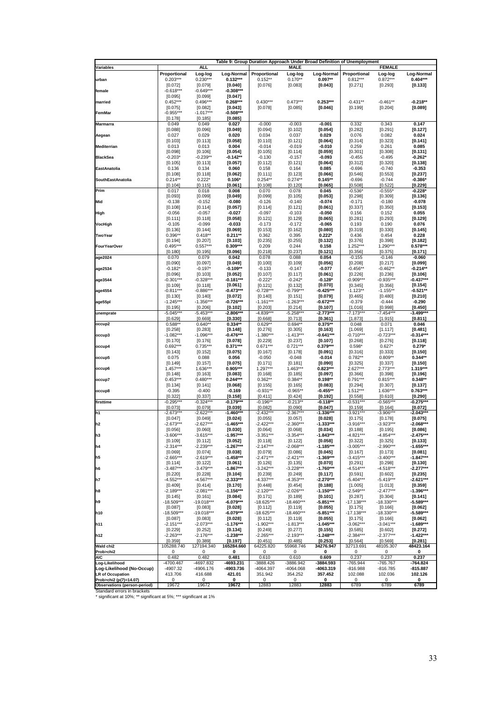|                                                      |                            |                          | Table 9: Group Duration Approach Under Broad Definition of Unemployment |                           |                         |                                     |                            |                           |                          |
|------------------------------------------------------|----------------------------|--------------------------|-------------------------------------------------------------------------|---------------------------|-------------------------|-------------------------------------|----------------------------|---------------------------|--------------------------|
| Variables                                            |                            | <b>ALL</b>               |                                                                         |                           | <b>MALE</b>             |                                     |                            | <b>FEMALE</b>             |                          |
| urban                                                | Proportional<br>$0.203***$ | Log-log<br>$0.230***$    | Log-Normal<br>$0.132***$                                                | Proportional<br>$0.152**$ | Log-log<br>$0.170**$    | Log-Normal<br>$0.097**$             | Proportional<br>$0.812***$ | Log-log<br>$0.872***$     | Log-Normal<br>$0.404***$ |
|                                                      | [0.072]                    | [0.079]                  | [0.040]                                                                 | [0.076]                   | [0.083]                 | [0.043]                             | [0.271]                    | [0.293]                   | [0.133]                  |
| female                                               | $-0.618***$                | $-0.649***$              | $-0.308***$                                                             |                           |                         |                                     |                            |                           |                          |
| married                                              | [0.095]<br>$0.452***$      | [0.099]<br>$0.496***$    | [0.047]<br>$0.268***$                                                   | $0.430***$                | $0.473***$              | $0.253***$                          | $-0.431**$                 | $-0.461**$                | $-0.218**$               |
|                                                      | [0.075]                    | [0.082]                  | [0.043]                                                                 | [0.078]                   | [0.085]                 | [0.046]                             | [0.199]                    | [0.204]                   | [0.089]                  |
| FemMar                                               | $-0.955***$                | $-1.017***$              | $-0.508***$                                                             |                           |                         |                                     |                            |                           |                          |
| <b>Marmarra</b>                                      | [0.178]<br>0.049           | [0.185]<br>0.049         | [0.085]<br>0.027                                                        | $-0.000$                  | $-0.003$                | $-0.001$                            | 0.332                      | 0.343                     | 0.147                    |
|                                                      | [0.088]                    | [0.096]                  | [0.049]                                                                 | [0.094]                   | [0.102]                 | [0.054]                             | [0.282]                    | [0.291]                   | [0.127]                  |
| Aegean                                               | 0.027                      | 0.029                    | 0.020                                                                   | 0.034                     | 0.037                   | 0.029                               | 0.076                      | 0.082                     | 0.024                    |
| Mediterrian                                          | [0.103]<br>0.013           | [0.113]<br>0.013         | [0.058]<br>0.004                                                        | [0.110]<br>$-0.014$       | [0.121]<br>$-0.019$     | [0.064]<br>$-0.010$                 | [0.314]<br>0.259           | [0.323]<br>0.261          | [0.141]<br>0.085         |
|                                                      | [0.098]                    | [0.106]                  | [0.054]                                                                 | [0.105]                   | [0.114]                 | $[0.059]$                           | [0.301]                    | [0.308]                   | [0.131]                  |
| <b>BlackSea</b>                                      | $-0.203*$                  | $-0.239**$               | $-0.142**$                                                              | $-0.130$                  | $-0.157$                | $-0.093$                            | $-0.455$                   | $-0.495$                  | $-0.262*$                |
| EastAnatolia                                         | [0.105]<br>0.136           | [0.113]<br>0.134         | [0.057]<br>0.060                                                        | [0.112]<br>0.158          | [0.121]<br>0.164        | [0.064]<br>0.085                    | [0.312]<br>$-0.696$        | [0.320]<br>$-0.740$       | [0.138]<br>$-0.353$      |
|                                                      | [0.108]                    | [0.118]                  | [0.062]                                                                 | [0.111]                   | [0.123]                 | [0.066]                             | [0.546]                    | [0.553]                   | [0.237]                  |
| SouthEastAnatolia                                    | $0.214**$                  | $0.222*$                 | $0.106*$                                                                | $0.254**$                 | $0.274**$               | $0.145**$                           | $-0.696$                   | $-0.744$                  | $-0.386*$                |
| Prim                                                 | [0.104]<br>0.017           | [0.115]<br>0.018         | [0.061]<br>0.008                                                        | [0.108]<br>0.070          | [0.120]<br>0.078        | [0.065]<br>0.045                    | [0.508]<br>$-0.536$        | [0.522]<br>$-0.555'$      | [0.229]<br>$-0.228*$     |
|                                                      | [0.093]                    | [0.099]                  | [0.049]                                                                 | [0.099]                   | [0.105]                 | $\left[0.053\right]$                | [0.298]                    | [0.309]                   | $[0.136]$                |
| Mid                                                  | $-0.138$                   | $-0.152$                 | $-0.080$                                                                | $-0.126$                  | $-0.140$                | $-0.074$                            | $-0.171$                   | $-0.180$                  | $-0.078$                 |
|                                                      | [0.108]                    | [0.114]                  | [0.057]                                                                 | [0.114]                   | [0.121]                 | [0.061]                             | [0.337]                    | [0.350]                   | [0.153]                  |
| High                                                 | $-0.056$<br>[0.111]        | $-0.057$<br>[0.118]      | $-0.027$<br>[0.058]                                                     | $-0.097$<br>[0.121]       | $-0.103$<br>[0.129]     | $-0.050$<br>[0.065]                 | 0.156<br>[0.281]           | 0.152<br>[0.293]          | 0.055<br>[0.129]         |
| VocHigh                                              | $-0.105$                   | $-0.099$                 | $-0.033$                                                                | $-0.173$                  | $-0.172$                | $-0.065$                            | 0.193                      | 0.190                     | 0.076                    |
|                                                      | [0.136]                    | [0.144]                  | [0.069]                                                                 | [0.153]                   | [0.162]                 | [0.080]                             | [0.319]                    | [0.330]                   | [0.145]                  |
| TwoYear                                              | 0.396**                    | $0.418**$<br>[0.207]     | $0.211**$<br>[0.103]                                                    | 0.362<br>[0.235]          | 0.395<br>[0.255]        | $0.222*$<br>[0.132]                 | 0.436<br>[0.376]           | 0.454<br>[0.398]          | 0.228<br>[0.182]         |
| <b>FourYearOver</b>                                  | [0.194]<br>$0.495***$      | $0.557***$               | $0.309***$                                                              | 0.209                     | 0.244                   | 0.158                               | 1.252***                   | 1.290***                  | $0.578***$               |
|                                                      | [0.180]                    | [0.195]                  | [0.096]                                                                 | [0.218]                   | [0.237]                 | [0.121]                             | [0.356]                    | [0.375]                   | [0.171]                  |
| age2024                                              | 0.070                      | 0.079                    | 0.042<br>[0.049]                                                        | 0.078                     | 0.088                   | 0.054                               | $-0.155$                   | $-0.146$                  | $-0.060$                 |
| age2534                                              | [0.090]<br>$-0.182*$       | [0.097]<br>$-0.197*$     | $-0.109**$                                                              | [0.100]<br>$-0.133$       | [0.109]<br>$-0.147$     | [0.056]<br>-0.077                   | [0.208]<br>$-0.456**$      | [0.217]<br>$-0.462**$     | [0.099]<br>$-0.214**$    |
|                                                      | [0.096]                    | [0.103]                  | [0.052]                                                                 | [0.107]                   | [0.117]                 | [0.061]                             | [0.226]                    | [0.236]                   | [0.106]                  |
| age3544                                              | $-0.301***$                | $-0.328***$              | $-0.181***$                                                             | $-0.222*$                 | $-0.242*$               | $-0.128*$                           | $-0.909***$                | $-0.935***$               | $-0.437***$              |
| age4554                                              | [0.109]<br>$-0.811***$     | [0.118]<br>$-0.886***$   | [0.061]<br>$-0.473***$                                                  | [0.121]<br>$-0.728***$    | [0.132]<br>$-0.799***$  | [0.070]<br>$-0.425***$              | [0.345]<br>$-1.123**$      | [0.356]<br>$-1.155*$      | [0.154]<br>$-0.521**$    |
|                                                      | [0.130]                    | [0.140]                  | $[0.072]$                                                               | [0.140]                   | [0.151]                 | [0.079]                             | [0.465]                    | [0.480]                   | $[0.210]$                |
| age55pl                                              | $-1.245***$                | $-1.356***$              | $-0.726***$                                                             | $-1.161***$               | $-1.263***$             | $-0.672***$                         | $-0.379$                   | $-0.444$                  | -0.290                   |
| unemprate                                            | [0.195]<br>$-5.045**$      | [0.206]<br>$-5.453**$    | [0.102]<br>$-2.806**$                                                   | [0.203]<br>$-4.839**$     | [0.214]<br>$-5.258***$  | [0.107]<br>$-2.773**$               | [1.016]<br>$-7.173**$      | [0.998]<br>$-7.454***$    | [0.450]<br>$-3.499***$   |
|                                                      | [0.629]                    | [0.669]                  | [0.330]                                                                 | [0.668]                   | [0.713]                 | [0.361]                             | [1.873]                    | [1.915]                   | [0.811]                  |
| occup2                                               | $0.588*$                   | $0.640**$                | $0.334**$                                                               | $0.629**$                 | $0.694**$               | $0.375**$                           | 0.048                      | 0.071                     | 0.046                    |
| occup3                                               | $[0.258]$<br>$-1.082***$   | [0.283]<br>$-1.096***$   | [0.148]<br>$-0.476***$                                                  | [0.276]<br>$-1.380***$    | [0.305]<br>$-1.413***$  | [0.163]<br>$-0.641***$              | [1.069]<br>$-0.710***$     | [1.117]<br>$-0.723***$    | [0.481]<br>$-0.314***$   |
|                                                      | [0.170]                    | [0.176]                  | [0.078]                                                                 | [0.229]                   | [0.237]                 | [0.107]                             | [0.268]                    | [0.276]                   | [0.118]                  |
| occup4                                               | $0.692***$                 | $0.735***$               | $0.371***$                                                              | $0.671***$                | $0.721***$              | $0.379***$                          | $0.598*$                   | $0.627*$                  | $0.279*$                 |
| occup5                                               | [0.143]<br>0.075           | [0.152]<br>0.088         | [0.075]<br>0.056                                                        | [0.167]<br>$-0.050$       | [0.178]<br>$-0.048$     | [0.091]<br>$-0.014$                 | [0.316]<br>$0.782**$       | [0.333]<br>$0.809**$      | [0.150]<br>$0.344**$     |
|                                                      | [0.149]                    | [0.157]                  | [0.075]                                                                 | [0.171]                   | [0.181]                 | [0.090]                             | [0.325]                    | [0.337]                   | [0.150]                  |
| occup6                                               | $1.457***$                 | 1.636***                 | $0.905***$                                                              | $1.297***$                | $1.463***$              | $0.823***$                          | $2.627***$                 | $2.773***$                | 1.319***                 |
| occup7                                               | [0.148]<br>$0.453***$      | [0.163]<br>$0.480***$    | [0.083]<br>$0.244***$                                                   | [0.168]<br>$0.362**$      | [0.185]<br>$0.384**$    | [0.097]<br>$0.198**$                | [0.366]<br>$0.791***$      | [0.398]<br>$0.815***$     | [0.196]<br>$0.348**$     |
|                                                      | [0.134]                    | [0.141]                  | [0.068]                                                                 | [0.155]                   | [0.165]                 | [0.083]                             | [0.294]                    | [0.307]                   | [0.137]                  |
| occup8                                               | $-0.395$                   | $-0.400$                 | $-0.169$                                                                | $-0.931**$                | $-0.965**$              | $-0.455**$                          | $1.512***$                 | 1.636***                  | $0.763***$               |
|                                                      | [0.322]                    | [0.337]                  | [0.158]<br>$-0.179***$                                                  | [0.411]                   | [0.424]<br>$-0.213**$   | [0.192]<br>$-0.118**$               | [0.558]                    | [0.610]<br>$-0.565***$    | [0.290]                  |
| firsttime                                            | $-0.295***$<br>[0.073]     | $-0.324***$<br>[0.079]   | [0.039]                                                                 | $-0.196*$<br>[0.082]      | [0.090]                 | [0.047]                             | $-0.531***$<br>[0.159]     | [0.164]                   | $-0.275***$<br>[0.072]   |
| h <sub>1</sub>                                       | $-2.673***$                | $-2.622**$               | -1.460***                                                               | $-2.432**$                | $-2.367***$             | $-1.336***$                         | $-3.921***$                | $-3.906***$               | $-2.043***$              |
|                                                      | $[0.047]$                  | [0.049]                  | $[0.024]$                                                               | [0.055]                   | [0.057]                 | [0.028]                             | [0.175]                    | [0.178]                   | [0.075]                  |
| h <sub>2</sub>                                       | $-2.673***$<br>[0.056]     | $-2.627***$<br>[0.060]   | $-1.465***$<br>[0.030]                                                  | $-2.422***$<br>[0.064]    | $-2.360***$<br>[0.068]  | $-1.333***$<br>[0.034]              | $-3.916***$<br>[0.188]     | $-3.923***$<br>[0.195]    | $-2.068***$<br>[0.086]   |
| h <sub>3</sub>                                       | $-3.606***$                | $-3.615***$              | -1.957***                                                               | $-3.351***$               | $-3.354***$             | $-1.843***$                         | $-4.821***$                | $-4.854***$               | $-2.475***$              |
|                                                      | [0.109]                    | [0.112]                  | [0.052]                                                                 | [0.118]                   | [0.122]                 | [0.058]                             | [0.322]                    | [0.325]                   | [0.133]                  |
| h4                                                   | $-2.314***$<br>[0.069]     | $-2.239***$<br>[0.074]   | $-1.267***$<br>[0.038]                                                  | $-2.147***$<br>[0.079]    | $-2.068***$<br>[0.086]  | $-1.185***$<br>[0.045]              | $-3.005***$<br>$[0.167]$   | $-2.990***$<br>[0.173]    | $-1.655***$<br>[0.081]   |
| h5                                                   | $-2.665***$                | $-2.619***$              | $-1.458***$                                                             | $-2.471***$               | $-2.421***$             | $-1.369***$                         | $-3.415***$                | $-3.400***$               | $-1.847***$              |
|                                                      | [0.114]                    | [0.122]                  | [0.061]                                                                 | [0.126]                   | [0.135]                 | [0.070]                             | [0.291]                    | [0.298]                   | $[0.130]$                |
| h6                                                   | $-3.487***$<br>$[0.220]$   | $-3.479***$<br>[0.228]   | $-1.867***$<br>[0.104]                                                  | -3.242***<br>[0.239]      | $-3.228***$<br>[0.249]  | $-1.760***$<br>[0.117]              | $-4.514***$<br>[0.591]     | -4.518***<br>[0.602]      | $-2.277***$<br>$[0.235]$ |
| h7                                                   | $-4.552***$                | $-4.567***$              | $-2.333***$                                                             | $-4.337***$               | $-4.353***$             | $-2.270***$                         | $-5.404***$                | $-5.419***$               | $-2.621***$              |
|                                                      | [0.409]                    | [0.414]                  | [0.170]                                                                 | [0.448]                   | [0.454]                 | [0.188]                             | $[1.005]$                  | [1.013]                   | $[0.359]$                |
| h8                                                   | $-2.189***$                | $-2.081***$              | $-1.156***$<br>[0.084]                                                  | $-2.120***$               | $-2.026***$             | $-1.150***$                         | $-2.549***$                | $-2.477***$               | $-1.396***$              |
| h9                                                   | [0.145]<br>$-18.509***$    | [0.161]<br>$-19.018***$  | -6.079***                                                               | [0.171]<br>$-18.625***$   | [0.189]<br>$-18.460***$ | [0.101]<br>$-5.851***$              | $[0.287]$<br>$-17.138***$  | $[0.304]$<br>$-18.330***$ | [0.141]<br>$-5.589***$   |
|                                                      | [0.087]                    | [0.083]                  | [0.028]                                                                 | [0.112]                   | [0.119]                 | [0.055]                             | [0.175]                    | [0.166]                   | [0.062]                  |
| h10                                                  | $-18.509***$               | $-19.018***$             | -6.079***                                                               | $-18.625***$              | $-18.460***$            | $-5.851***$                         | $-17.138***$               | $-18.330***$              | $-5.589***$              |
| h11                                                  | [0.087]<br>$-2.151***$     | $[0.083]$<br>$-2.073***$ | [0.028]<br>-1.176***                                                    | [0.112]<br>$-1.902***$    | [0.119]<br>$-1.813***$  | $\left[0.055\right]$<br>$-1.045***$ | $[0.175]$<br>$-3.062***$   | [0.166]<br>$-3.041***$    | [0.062]<br>$-1.689***$   |
|                                                      | $[0.229]$                  | [0.252]                  | $\left[0.134\right]$                                                    | $[0.249]$                 | [0.277]                 | [0.155]                             | [0.585]                    | [0.602]                   | [0.272]                  |
| h12                                                  | $-2.263***$                | $-2.176***$              | $-1.238***$                                                             | $-2.265***$               | $-2.193***$             | $-1.248***$                         | $-2.384***$                | $-2.377***$               | $-1.422***$              |
| Wald chi2                                            | [0.359]<br>105288.740      | [0.389]<br>127194.340    | [0.197]<br>165284.660                                                   | [0.451]<br>64225.820      | [0.485]                 | [0.253]<br>34276.947                | [0.564]                    | [0.569]                   | [0.281]<br>48423.164     |
| Prob>chi2                                            | 0                          | 0                        | 0                                                                       | 0                         | 55968.746<br>0          | 0                                   | 32713.691<br>0             | 48105.307<br>0            | 0                        |
| AIC                                                  | 0.482                      | 0.482                    | 0.481                                                                   | 0.610                     | 0.610                   | 0.609                               | 0.237                      | 0.237                     | 0.237                    |
| Log-Likelihood                                       | -4700.467                  | -4697.832                | -4693.231                                                               | -3888.426                 | -3886.942               | 3884.593                            | -765.944                   | -765.767                  | -764.824                 |
| Log-Likelihood (No-Occup)<br><b>LR of Occupation</b> | -4907.32<br>413.706        | -4906.176<br>416.688     | -4903.736<br>421.01                                                     | -4064.397<br>351.942      | -4064.068<br>354.252    | 4063.319<br>357.452                 | -816.988<br>102.088        | -816.785<br>102.036       | -815.887<br>102.126      |
| Prob>chi2 (p(7)=14.07)                               | 0                          | 0                        | 0                                                                       | 0                         | 0                       | 0                                   | 0                          | 0                         | 0                        |
| <b>Observations (person-period)</b>                  | 19672                      | 19672                    | 19672                                                                   | 12883                     | 12883                   | 12883                               | 6789                       | 6789                      | 6789                     |
| Standard errors in brackets                          |                            |                          |                                                                         |                           |                         |                                     |                            |                           |                          |

Standard errors in brackets \* significant at 10%; \*\* significant at 5%; \*\*\* significant at 1%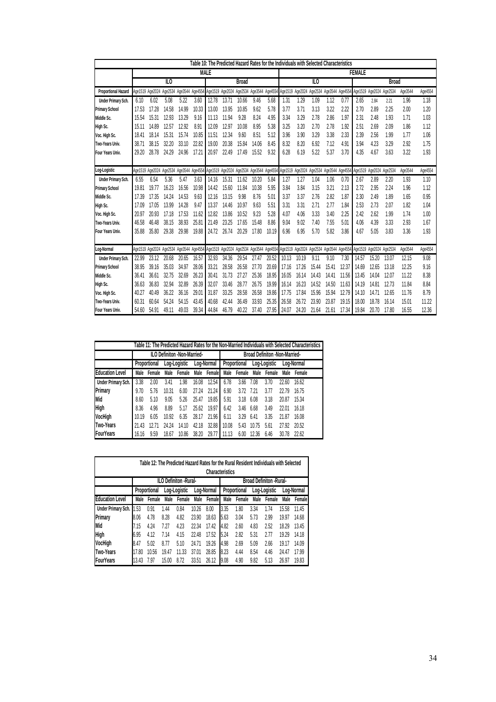|                            | Table 10: The Predicted Hazard Rates for the Individuals with Selected Characteristics |       |                                         |       |       |                                                                                                                                                 |       |       |       |               |       |                                                                                 |       |              |       |       |                         |       |         |         |
|----------------------------|----------------------------------------------------------------------------------------|-------|-----------------------------------------|-------|-------|-------------------------------------------------------------------------------------------------------------------------------------------------|-------|-------|-------|---------------|-------|---------------------------------------------------------------------------------|-------|--------------|-------|-------|-------------------------|-------|---------|---------|
|                            | MALE                                                                                   |       |                                         |       |       |                                                                                                                                                 |       |       |       | <b>FEMALE</b> |       |                                                                                 |       |              |       |       |                         |       |         |         |
|                            | ILO                                                                                    |       |                                         |       |       | <b>Broad</b>                                                                                                                                    |       |       |       | ILO           |       |                                                                                 |       | <b>Broad</b> |       |       |                         |       |         |         |
| <b>Proportional Hazard</b> |                                                                                        |       |                                         |       |       | Age1519 Age2024 Age2534 Age3544 Age4554 Age1519 Age2024 Age2534 Age3544 Age4554 Age1519 Age2024 Age2534 Age3544 Age4554 Age1519 Age2024 Age2534 |       |       |       |               |       |                                                                                 |       |              |       |       |                         |       | Age3544 | Age4554 |
| Under Primary Sch.         | 6.10                                                                                   | 6.02  | 5.08                                    | 5.22  | 3.60  | 12.78                                                                                                                                           | 13.71 | 10.66 | 9.46  | 5.68          | 1.31  | 1.29                                                                            | 1.09  | 1.12         | 0.77  | 2.65  | 2.84                    | 2.21  | 1.96    | 1.18    |
| <b>Primary School</b>      | 17.53                                                                                  | 17.28 | 14.58                                   | 14.99 | 10.33 | 13.00                                                                                                                                           | 13.95 | 10.85 | 9.62  | 5.78          | 3.77  | 3.71                                                                            | 3.13  | 3.22         | 2.22  | 2.70  | 2.89                    | 2.25  | 2.00    | 1.20    |
| Middle Sc.                 | 15.54                                                                                  | 15.31 | 12.93                                   | 13.29 | 9.16  | 11.13                                                                                                                                           | 11.94 | 9.28  | 8.24  | 4.95          | 3.34  | 3.29                                                                            | 2.78  | 2.86         | 1.97  | 2.31  | 2.48                    | 1.93  | 1.71    | 1.03    |
| High Sc.                   | 15.1'                                                                                  | 14.89 | 12.57                                   | 12.92 | 8.91  | 12.09                                                                                                                                           | 12.97 | 10.08 | 8.95  | 5.38          | 3.25  | 3.20                                                                            | 2.70  | 2.78         | 1.92  | 2.51  | 2.69                    | 2.09  | 1.86    | 1.12    |
| Voc. High Sc.              | $18.4^{\circ}$                                                                         | 18.14 | 15.31                                   | 15.74 | 10.85 | 11.51                                                                                                                                           | 12.34 | 9.60  | 8.51  | 5.12          | 3.96  | 3.90                                                                            | 3.29  | 3.38         | 2.33  | 2.39  | 2.56                    | 1.99  | 1.77    | 1.06    |
| Two-Years Univ.            | 38.7                                                                                   | 38.15 | 32.20                                   | 33.10 | 22.82 | 19.00                                                                                                                                           | 20.38 | 15.84 | 14.06 | 8.45          | 8.32  | 8.20                                                                            | 6.92  | 7.12         | 4.91  | 3.94  | 4.23                    | 3.29  | 2.92    | 1.75    |
| Four Years Univ.           | 29.20                                                                                  | 28.78 | 24.29                                   | 24.96 | 17.21 | 20.97                                                                                                                                           | 22.49 | 17.49 | 15.52 | 9.32          | 6.28  | 6.19                                                                            | 5.22  | 5.37         | 3.70  | 4.35  | 4.67                    | 3.63  | 3.22    | 1.93    |
|                            |                                                                                        |       |                                         |       |       |                                                                                                                                                 |       |       |       |               |       |                                                                                 |       |              |       |       |                         |       |         |         |
| Log-Logistic               |                                                                                        |       |                                         |       |       | Age1519 Age2024 Age2534 Age3544 Age4554 Age1519 Age2024 Age2534 Age3544 Age4554 Age1519 Age2024 Age2534 Age3544 Age4554                         |       |       |       |               |       |                                                                                 |       |              |       |       | Age1519 Age2024 Age2534 |       | Age3544 | Age4554 |
| Under Primary Sch.         | 6.55                                                                                   | 6.54  | 5.36                                    | 5.47  | 3.63  | 14.16                                                                                                                                           | 15.31 | 11.62 | 10.20 | 5.84          | 1.27  | 1.27                                                                            | 1.04  | 1.06         | 0.70  | 2.67  | 2.89                    | 2.20  | 1.93    | 1.10    |
| <b>Primary School</b>      | 19.8'                                                                                  | 19.77 | 16.23                                   | 16.56 | 10.98 | 14.42                                                                                                                                           | 15.60 | 11.84 | 10.38 | 5.95          | 3.84  | 3.84                                                                            | 3.15  | 3.21         | 2.13  | 2.72  | 2.95                    | 2.24  | 1.96    | 1.12    |
| Middle Sc.                 | 17.39                                                                                  | 17.35 | 14.24                                   | 14.53 | 9.63  | 12.16                                                                                                                                           | 13.15 | 9.98  | 8.76  | 5.01          | 3.37  | 3.37                                                                            | 2.76  | 2.82         | 1.87  | 2.30  | 2.49                    | 1.89  | 1.65    | 0.95    |
| High Sc.                   | 17.09                                                                                  | 17.05 | 13.99                                   | 14.28 | 9.47  | 13.37                                                                                                                                           | 14.46 | 10.97 | 9.63  | 5.51          | 3.31  | 3.31                                                                            | 2.71  | 2.77         | 1.84  | 2.53  | 2.73                    | 2.07  | 1.82    | 1.04    |
| Voc. High Sc.              | 20.97                                                                                  | 20.93 | 17.18                                   | 17.53 | 11.62 | 12.82                                                                                                                                           | 13.86 | 10.52 | 9.23  | 5.28          | 4.07  | 4.06                                                                            | 3.33  | 3.40         | 2.25  | 2.42  | 2.62                    | 1.99  | 1.74    | 1.00    |
| Two-Years Univ.            | 46.58                                                                                  | 46.48 | 38.15                                   | 38.93 | 25.81 | 21.49                                                                                                                                           | 23.25 | 17.65 | 15.48 | 8.86          | 9.04  | 9.02                                                                            | 7.40  | 7.55         | 5.01  | 4.06  | 4.39                    | 3.33  | 2.93    | 1.67    |
| Four Years Univ.           | 35,88                                                                                  | 35.80 | 29.38                                   | 29.98 | 19.88 | 24.72                                                                                                                                           | 26.74 | 20.29 | 17.80 | 10.19         | 6.96  | 6.95                                                                            | 5.70  | 5.82         | 3.86  | 4.67  | 5.05                    | 3.83  | 3.36    | 1.93    |
|                            |                                                                                        |       |                                         |       |       |                                                                                                                                                 |       |       |       |               |       |                                                                                 |       |              |       |       |                         |       |         |         |
| Log-Normal                 |                                                                                        |       | Age1519 Age2024 Age2534 Age3544 Age4554 |       |       |                                                                                                                                                 |       |       |       |               |       | Age1519 Age2024 Age2534 Age3544 Age4554 Age1519 Age2024 Age2534 Age3544 Age4554 |       |              |       |       | Age1519 Age2024 Age2534 |       | Age3544 | Age4554 |
| Under Primary Sch.         | 22.99                                                                                  | 23.12 | 20.68                                   | 20.65 | 16.57 | 32.93                                                                                                                                           | 34.36 | 29.54 | 27.47 | 20.52         | 10.13 | 10.19                                                                           | 9.11  | 9.10         | 7.30  | 14.57 | 15.20                   | 13.07 | 12.15   | 9.08    |
| <b>Primary School</b>      | 38.95                                                                                  | 39.16 | 35.03                                   | 34.97 | 28.06 | 33.21                                                                                                                                           | 28.58 | 26.58 | 27.70 | 20.69         | 17.16 | 17.26                                                                           | 15.44 | 15.41        | 12.37 | 14.69 | 12.65                   | 13.18 | 12.25   | 9.16    |
| Middle Sc.                 | 36.41                                                                                  | 36.61 | 32.75                                   | 32.69 | 26.23 | 30.41                                                                                                                                           | 31.73 | 27.27 | 25.36 | 18.95         | 16.05 | 16.14                                                                           | 14.43 | 14.41        | 11.56 | 13.45 | 14.04                   | 12.07 | 11.22   | 8.38    |
| High Sc.                   | 36.63                                                                                  | 36.83 | 32.94                                   | 32.89 | 26.39 | 32.07                                                                                                                                           | 33.46 | 28.77 | 26.75 | 19.99         | 16.14 | 16.23                                                                           | 14.52 | 14.50        | 11.63 | 14.19 | 14.81                   | 12.73 | 11.84   | 8.84    |
| Voc. High Sc.              | 40.27                                                                                  | 40.49 | 36.22                                   | 36.16 | 29.01 | 31.87                                                                                                                                           | 33.25 | 28.58 | 26.58 | 19.86         | 17.75 | 17.84                                                                           | 15.96 | 15.94        | 12.79 | 14.10 | 14.71                   | 12.65 | 11.76   | 8.79    |
| Two-Years Univ.            | 60.31                                                                                  | 60.64 | 54.24                                   | 54.15 | 43.45 | 40.68                                                                                                                                           | 42.44 | 36.49 | 33.93 | 25.35         | 26.58 | 26.72                                                                           | 23.90 | 23.87        | 19.15 | 18.00 | 18.78                   | 16.14 | 15.01   | 11.22   |
| Four Years Univ.           | 54.60                                                                                  | 54.91 | 49.11                                   | 49.03 | 39.34 | 44.84                                                                                                                                           | 46.79 | 40.22 | 37.40 | 27.95         | 24.07 | 24.20                                                                           | 21.64 | 21.61        | 17.34 | 19.84 | 20.70                   | 17.80 | 16.55   | 12.36   |

| Table 11: The Predicted Hazard Rates for the Non-Married Individuals with Selected Characteristics |              |        |              |                                    |            |        |                                      |        |              |        |       |            |  |
|----------------------------------------------------------------------------------------------------|--------------|--------|--------------|------------------------------------|------------|--------|--------------------------------------|--------|--------------|--------|-------|------------|--|
|                                                                                                    |              |        |              | <b>ILO Definiton -Non-Married-</b> |            |        | <b>Broad Definiton -Non-Married-</b> |        |              |        |       |            |  |
|                                                                                                    | Proportional |        | Log-Logistic |                                    | Log-Normal |        | Proportional                         |        | Log-Logistic |        |       | Log-Normal |  |
| <b>Education Level</b>                                                                             | Male         | Female | Male         | Female                             | Male       | Female | Male                                 | Female | Male         | Female | Male  | Female     |  |
| Under Primary Sch.                                                                                 | 3.38         | 2.00   | 3.41         | .98                                | 16.08      | 12.54  | 6.78                                 | 3.66   | 7.08         | 3.70   | 22.60 | 16.62      |  |
| Primary                                                                                            | 9.70         | 5.76   | 10.31        | 6.00                               | 27.24      | 21.24  | 6.90                                 | 3.72   | 7.21         | 3.77   | 22.79 | 16.75      |  |
| Mid                                                                                                | 8.60         | 5.10   | 9.05         | 5.26                               | 25.47      | 19.85  | 5.91                                 | 3.18   | 6.08         | 3.18   | 20.87 | 15.34      |  |
| <b>High</b>                                                                                        | 8.36         | 4.96   | 8.89         | 5.17                               | 25.62      | 19.97  | 6.42                                 | 3.46   | 6.68         | 3.49   | 22.01 | 16.18      |  |
| VocHigh                                                                                            | 10.19        | 6.05   | 10.92        | 6.35                               | 28.17      | 21.96  | 6.11                                 | 3.29   | 6.41         | 3.35   | 21.87 | 16.08      |  |
| Two-Years                                                                                          | 21.43        | 12.71  | 24.24        | 14.10                              | 42.18      | 32.88  | 10.08                                | 5.43   | 10.75        | 5.61   | 27.92 | 20.52      |  |
| <b>FourYears</b>                                                                                   | 16.16        | 9.59   | 18.67        | 10.86                              | 38.20      | 29.77  | 11.13                                | 6.00   | 12.36        | 6.46   | 30.78 | 22.62      |  |

| Table 12: The Predicted Hazard Rates for the Rural Resident Individuals with Selected |                        |              |              |                        |            |        |                                 |        |              |        |            |        |  |  |
|---------------------------------------------------------------------------------------|------------------------|--------------|--------------|------------------------|------------|--------|---------------------------------|--------|--------------|--------|------------|--------|--|--|
|                                                                                       | <b>Characteristics</b> |              |              |                        |            |        |                                 |        |              |        |            |        |  |  |
|                                                                                       |                        |              |              | ILO Definiton - Rural- |            |        | <b>Broad Definiton - Rural-</b> |        |              |        |            |        |  |  |
|                                                                                       |                        | Proportional | Log-Logistic |                        | Log-Normal |        | Proportional                    |        | Log-Logistic |        | Log-Normal |        |  |  |
| <b>Education Level</b>                                                                | Male                   | Female       | Male         | Female                 | Male       | Female | Male                            | Female | Male         | Female | Male       | Female |  |  |
| Under Primary Sch.                                                                    | .53                    | 0.91         | 1.44         | 0.84                   | 10.26      | 8.00   | 3.35                            | 1.80   | 3.34         | 1.74   | 15.58      | 11.45  |  |  |
| Primary                                                                               | 8.06                   | 4.78         | 8.28         | 4.82                   | 23.90      | 18.63  | 5.63                            | 3.04   | 5.73         | 2.99   | 19.97      | 14.68  |  |  |
| <b>Mid</b>                                                                            | 7.15                   | 4.24         | 7.27         | 4.23                   | 22.34      | 17.42  | 4.82                            | 2.60   | 4.83         | 2.52   | 18.29      | 13.45  |  |  |
| <b>High</b>                                                                           | 6.95                   | 4.12         | 7.14         | 4.15                   | 22.48      | 17.52  | 5.24                            | 2.82   | 5.31         | 2.77   | 19.29      | 14.18  |  |  |
| VocHigh                                                                               | 8.47                   | 5.02         | 8.77         | 5.10                   | 24.71      | 19.26  | 4.98                            | 2.69   | 5.09         | 2.66   | 19.17      | 14.09  |  |  |
| Two-Years                                                                             | 17.80                  | 10.56        | 19.47        | 11.33                  | 37.01      | 28.85  | 8.23                            | 4.44   | 8.54         | 4.46   | 24.47      | 17.99  |  |  |
| <b>FourYears</b>                                                                      | 13.43                  | 7.97         | 15.00        | 8.72                   | 33.51      | 26.12  | 9.08                            | 4.90   | 9.82         | 5.13   | 26.97      | 19.83  |  |  |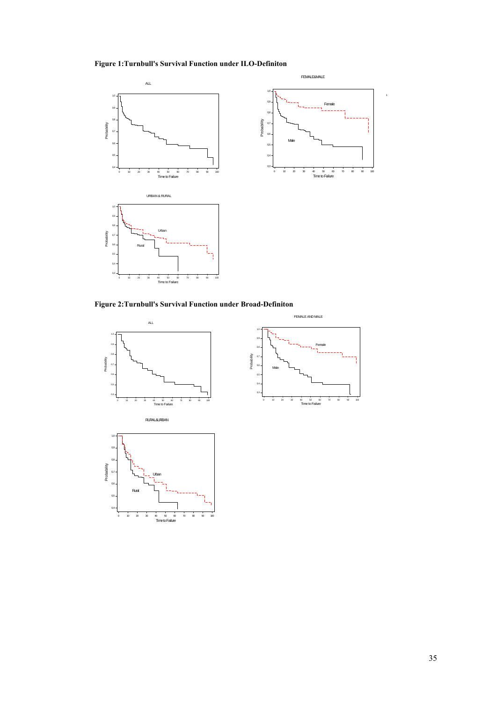#### **Figure 1:Turnbull's Survival Function under ILO-Definiton**



**Figure 2:Turnbull's Survival Function under Broad-Definiton**



1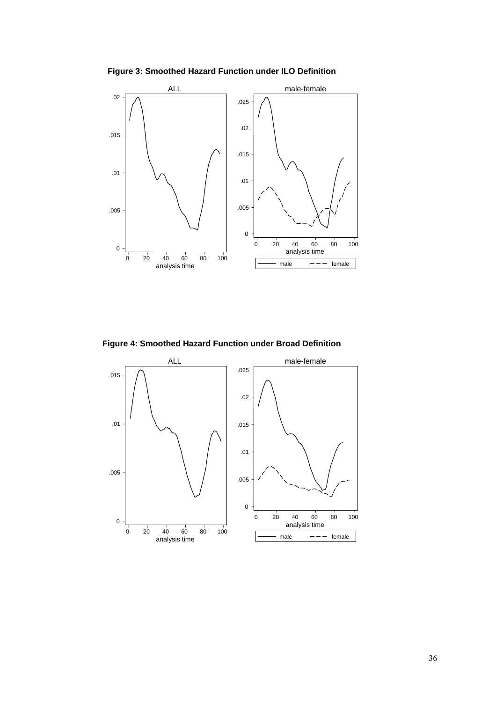**Figure 3: Smoothed Hazard Function under ILO Definition**



**Figure 4: Smoothed Hazard Function under Broad Definition**

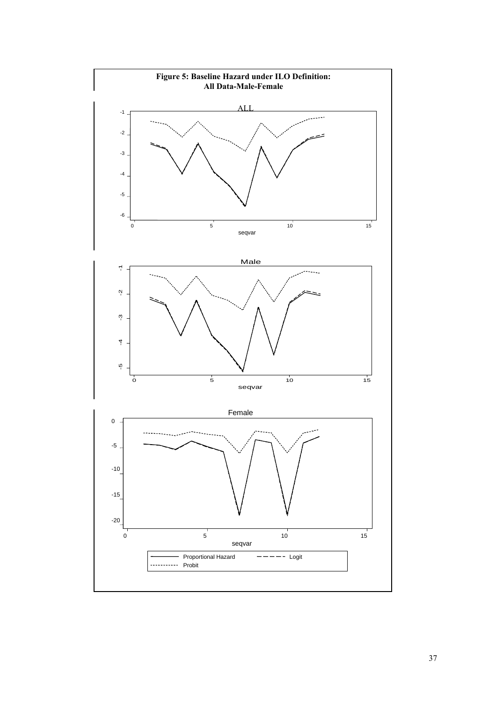